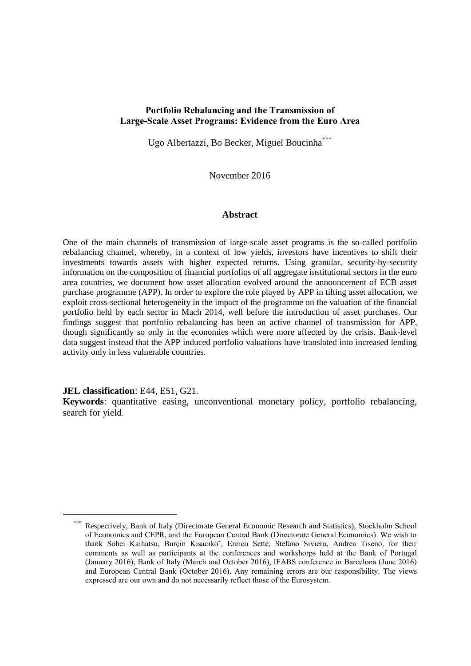## **Portfolio Rebalancing and the Transmission of Large-Scale Asset Programs: Evidence from the Euro Area**

Ugo Albertazzi, Bo Becker, Miguel Boucinha\*\*\*

November 2016

#### **Abstract**

One of the main channels of transmission of large-scale asset programs is the so-called portfolio rebalancing channel, whereby, in a context of low yields, investors have incentives to shift their investments towards assets with higher expected returns. Using granular, security-by-security information on the composition of financial portfolios of all aggregate institutional sectors in the euro area countries, we document how asset allocation evolved around the announcement of ECB asset purchase programme (APP). In order to explore the role played by APP in tilting asset allocation, we exploit cross-sectional heterogeneity in the impact of the programme on the valuation of the financial portfolio held by each sector in Mach 2014, well before the introduction of asset purchases. Our findings suggest that portfolio rebalancing has been an active channel of transmission for APP, though significantly so only in the economies which were more affected by the crisis. Bank-level data suggest instead that the APP induced portfolio valuations have translated into increased lending activity only in less vulnerable countries.

**JEL classification**: E44, E51, G21.

1

**Keywords**: quantitative easing, unconventional monetary policy, portfolio rebalancing, search for yield.

<sup>\*\*\*</sup> Respectively, Bank of Italy (Directorate General Economic Research and Statistics), Stockholm School of Economics and CEPR, and the European Central Bank (Directorate General Economics). We wish to thank Sohei Kaihatsu, Burçin Kısacıko˘, Enrico Sette, Stefano Siviero, Andrea Tiseno, for their comments as well as participants at the conferences and workshorps held at the Bank of Portugal (January 2016), Bank of Italy (March and October 2016), IFABS conference in Barcelona (June 2016) and European Central Bank (October 2016). Any remaining errors are our responsibility. The views expressed are our own and do not necessarily reflect those of the Eurosystem.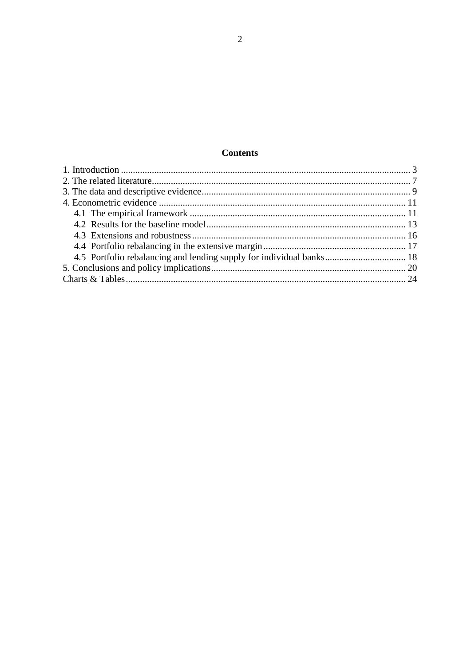# **Contents**

| 4.5 Portfolio rebalancing and lending supply for individual banks 18 |  |
|----------------------------------------------------------------------|--|
|                                                                      |  |
|                                                                      |  |
|                                                                      |  |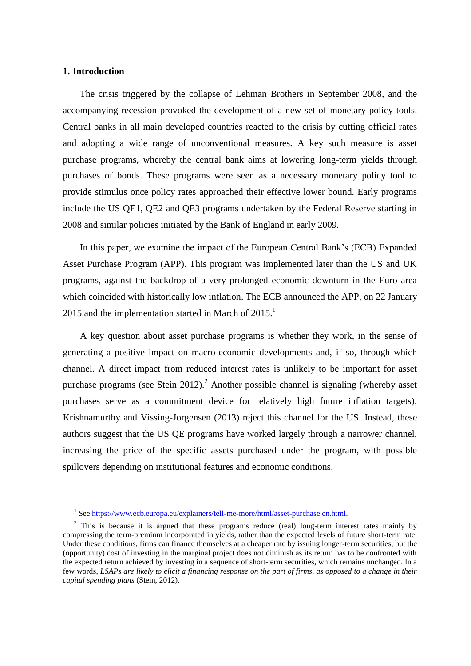### **1. Introduction**

1

The crisis triggered by the collapse of Lehman Brothers in September 2008, and the accompanying recession provoked the development of a new set of monetary policy tools. Central banks in all main developed countries reacted to the crisis by cutting official rates and adopting a wide range of unconventional measures. A key such measure is asset purchase programs, whereby the central bank aims at lowering long-term yields through purchases of bonds. These programs were seen as a necessary monetary policy tool to provide stimulus once policy rates approached their effective lower bound. Early programs include the US QE1, QE2 and QE3 programs undertaken by the Federal Reserve starting in 2008 and similar policies initiated by the Bank of England in early 2009.

In this paper, we examine the impact of the European Central Bank's (ECB) Expanded Asset Purchase Program (APP). This program was implemented later than the US and UK programs, against the backdrop of a very prolonged economic downturn in the Euro area which coincided with historically low inflation. The ECB announced the APP, on 22 January 2015 and the implementation started in March of 2015.<sup>1</sup>

A key question about asset purchase programs is whether they work, in the sense of generating a positive impact on macro-economic developments and, if so, through which channel. A direct impact from reduced interest rates is unlikely to be important for asset purchase programs (see Stein 2012).<sup>2</sup> Another possible channel is signaling (whereby asset purchases serve as a commitment device for relatively high future inflation targets). Krishnamurthy and Vissing-Jorgensen (2013) reject this channel for the US. Instead, these authors suggest that the US QE programs have worked largely through a narrower channel, increasing the price of the specific assets purchased under the program, with possible spillovers depending on institutional features and economic conditions.

<sup>&</sup>lt;sup>1</sup> See [https://www.ecb.europa.eu/explainers/tell-me-more/html/asset-purchase.en.html.](https://www.ecb.europa.eu/explainers/tell-me-more/html/asset-purchase.en.html)

<sup>&</sup>lt;sup>2</sup> This is because it is argued that these programs reduce (real) long-term interest rates mainly by compressing the term-premium incorporated in yields, rather than the expected levels of future short-term rate. Under these conditions, firms can finance themselves at a cheaper rate by issuing longer-term securities, but the (opportunity) cost of investing in the marginal project does not diminish as its return has to be confronted with the expected return achieved by investing in a sequence of short-term securities, which remains unchanged. In a few words, *LSAPs are likely to elicit a financing response on the part of firms, as opposed to a change in their capital spending plans* (Stein, 2012).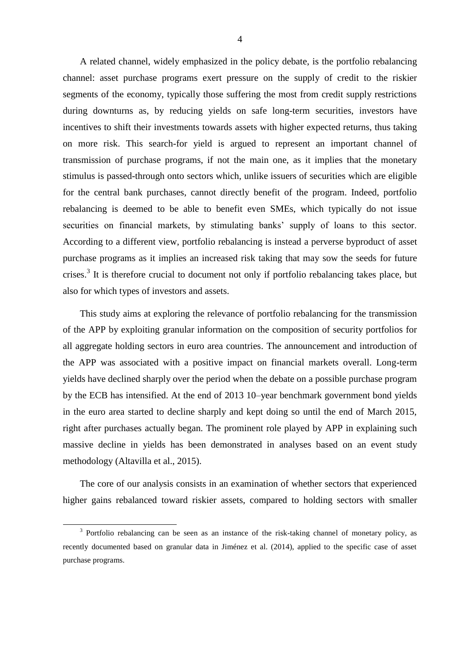A related channel, widely emphasized in the policy debate, is the portfolio rebalancing channel: asset purchase programs exert pressure on the supply of credit to the riskier segments of the economy, typically those suffering the most from credit supply restrictions during downturns as, by reducing yields on safe long-term securities, investors have incentives to shift their investments towards assets with higher expected returns, thus taking on more risk. This search-for yield is argued to represent an important channel of transmission of purchase programs, if not the main one, as it implies that the monetary stimulus is passed-through onto sectors which, unlike issuers of securities which are eligible for the central bank purchases, cannot directly benefit of the program. Indeed, portfolio rebalancing is deemed to be able to benefit even SMEs, which typically do not issue securities on financial markets, by stimulating banks' supply of loans to this sector. According to a different view, portfolio rebalancing is instead a perverse byproduct of asset purchase programs as it implies an increased risk taking that may sow the seeds for future crises.<sup>3</sup> It is therefore crucial to document not only if portfolio rebalancing takes place, but also for which types of investors and assets.

This study aims at exploring the relevance of portfolio rebalancing for the transmission of the APP by exploiting granular information on the composition of security portfolios for all aggregate holding sectors in euro area countries. The announcement and introduction of the APP was associated with a positive impact on financial markets overall. Long-term yields have declined sharply over the period when the debate on a possible purchase program by the ECB has intensified. At the end of 2013 10–year benchmark government bond yields in the euro area started to decline sharply and kept doing so until the end of March 2015, right after purchases actually began. The prominent role played by APP in explaining such massive decline in yields has been demonstrated in analyses based on an event study methodology (Altavilla et al., 2015).

The core of our analysis consists in an examination of whether sectors that experienced higher gains rebalanced toward riskier assets, compared to holding sectors with smaller

-

<sup>&</sup>lt;sup>3</sup> Portfolio rebalancing can be seen as an instance of the risk-taking channel of monetary policy, as recently documented based on granular data in Jiménez et al. (2014), applied to the specific case of asset purchase programs.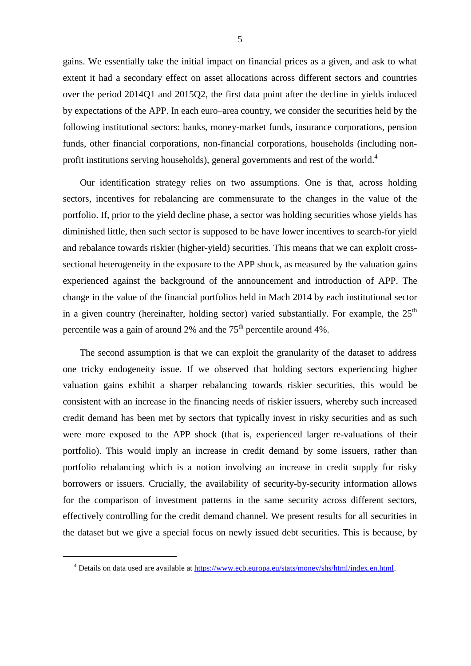gains. We essentially take the initial impact on financial prices as a given, and ask to what extent it had a secondary effect on asset allocations across different sectors and countries over the period 2014Q1 and 2015Q2, the first data point after the decline in yields induced by expectations of the APP. In each euro–area country, we consider the securities held by the following institutional sectors: banks, money-market funds, insurance corporations, pension funds, other financial corporations, non-financial corporations, households (including nonprofit institutions serving households), general governments and rest of the world.<sup>4</sup>

Our identification strategy relies on two assumptions. One is that, across holding sectors, incentives for rebalancing are commensurate to the changes in the value of the portfolio. If, prior to the yield decline phase, a sector was holding securities whose yields has diminished little, then such sector is supposed to be have lower incentives to search-for yield and rebalance towards riskier (higher-yield) securities. This means that we can exploit crosssectional heterogeneity in the exposure to the APP shock, as measured by the valuation gains experienced against the background of the announcement and introduction of APP. The change in the value of the financial portfolios held in Mach 2014 by each institutional sector in a given country (hereinafter, holding sector) varied substantially. For example, the  $25<sup>th</sup>$ percentile was a gain of around 2% and the  $75<sup>th</sup>$  percentile around 4%.

The second assumption is that we can exploit the granularity of the dataset to address one tricky endogeneity issue. If we observed that holding sectors experiencing higher valuation gains exhibit a sharper rebalancing towards riskier securities, this would be consistent with an increase in the financing needs of riskier issuers, whereby such increased credit demand has been met by sectors that typically invest in risky securities and as such were more exposed to the APP shock (that is, experienced larger re-valuations of their portfolio). This would imply an increase in credit demand by some issuers, rather than portfolio rebalancing which is a notion involving an increase in credit supply for risky borrowers or issuers. Crucially, the availability of security-by-security information allows for the comparison of investment patterns in the same security across different sectors, effectively controlling for the credit demand channel. We present results for all securities in the dataset but we give a special focus on newly issued debt securities. This is because, by

1

<sup>4</sup> Details on data used are available a[t https://www.ecb.europa.eu/stats/money/shs/html/index.en.html.](https://www.ecb.europa.eu/stats/money/shs/html/index.en.html)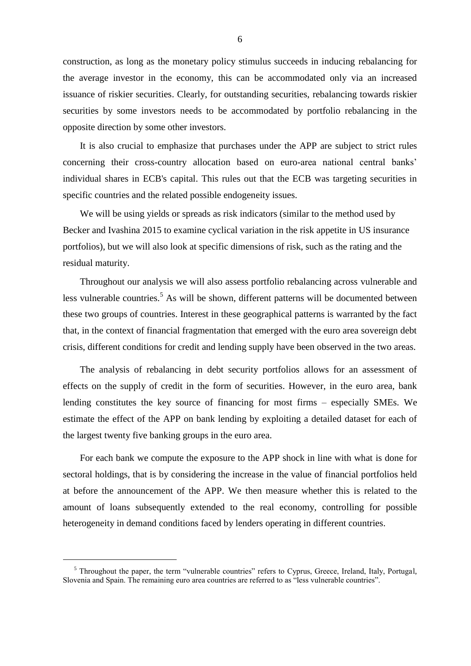construction, as long as the monetary policy stimulus succeeds in inducing rebalancing for the average investor in the economy, this can be accommodated only via an increased issuance of riskier securities. Clearly, for outstanding securities, rebalancing towards riskier securities by some investors needs to be accommodated by portfolio rebalancing in the opposite direction by some other investors.

It is also crucial to emphasize that purchases under the APP are subject to strict rules concerning their cross-country allocation based on euro-area national central banks' individual shares in ECB's capital. This rules out that the ECB was targeting securities in specific countries and the related possible endogeneity issues.

We will be using yields or spreads as risk indicators (similar to the method used by Becker and Ivashina 2015 to examine cyclical variation in the risk appetite in US insurance portfolios), but we will also look at specific dimensions of risk, such as the rating and the residual maturity.

Throughout our analysis we will also assess portfolio rebalancing across vulnerable and less vulnerable countries.<sup>5</sup> As will be shown, different patterns will be documented between these two groups of countries. Interest in these geographical patterns is warranted by the fact that, in the context of financial fragmentation that emerged with the euro area sovereign debt crisis, different conditions for credit and lending supply have been observed in the two areas.

The analysis of rebalancing in debt security portfolios allows for an assessment of effects on the supply of credit in the form of securities. However, in the euro area, bank lending constitutes the key source of financing for most firms – especially SMEs. We estimate the effect of the APP on bank lending by exploiting a detailed dataset for each of the largest twenty five banking groups in the euro area.

For each bank we compute the exposure to the APP shock in line with what is done for sectoral holdings, that is by considering the increase in the value of financial portfolios held at before the announcement of the APP. We then measure whether this is related to the amount of loans subsequently extended to the real economy, controlling for possible heterogeneity in demand conditions faced by lenders operating in different countries.

-

<sup>&</sup>lt;sup>5</sup> Throughout the paper, the term "vulnerable countries" refers to Cyprus, Greece, Ireland, Italy, Portugal, Slovenia and Spain. The remaining euro area countries are referred to as "less vulnerable countries".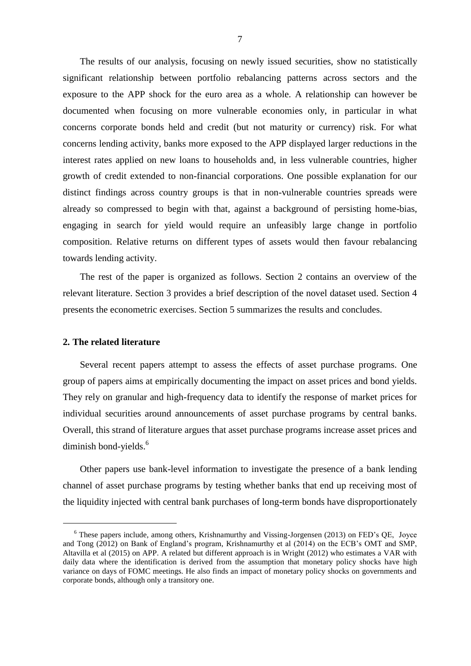The results of our analysis, focusing on newly issued securities, show no statistically significant relationship between portfolio rebalancing patterns across sectors and the exposure to the APP shock for the euro area as a whole. A relationship can however be documented when focusing on more vulnerable economies only, in particular in what concerns corporate bonds held and credit (but not maturity or currency) risk. For what concerns lending activity, banks more exposed to the APP displayed larger reductions in the interest rates applied on new loans to households and, in less vulnerable countries, higher growth of credit extended to non-financial corporations. One possible explanation for our distinct findings across country groups is that in non-vulnerable countries spreads were already so compressed to begin with that, against a background of persisting home-bias, engaging in search for yield would require an unfeasibly large change in portfolio composition. Relative returns on different types of assets would then favour rebalancing towards lending activity.

The rest of the paper is organized as follows. Section 2 contains an overview of the relevant literature. Section 3 provides a brief description of the novel dataset used. Section 4 presents the econometric exercises. Section 5 summarizes the results and concludes.

### **2. The related literature**

1

Several recent papers attempt to assess the effects of asset purchase programs. One group of papers aims at empirically documenting the impact on asset prices and bond yields. They rely on granular and high-frequency data to identify the response of market prices for individual securities around announcements of asset purchase programs by central banks. Overall, this strand of literature argues that asset purchase programs increase asset prices and diminish bond-yields.<sup>6</sup>

Other papers use bank-level information to investigate the presence of a bank lending channel of asset purchase programs by testing whether banks that end up receiving most of the liquidity injected with central bank purchases of long-term bonds have disproportionately

 $6$  These papers include, among others, Krishnamurthy and Vissing-Jorgensen (2013) on FED's OE, Joyce and Tong (2012) on Bank of England's program, Krishnamurthy et al (2014) on the ECB's OMT and SMP, Altavilla et al (2015) on APP. A related but different approach is in Wright (2012) who estimates a VAR with daily data where the identification is derived from the assumption that monetary policy shocks have high variance on days of FOMC meetings. He also finds an impact of monetary policy shocks on governments and corporate bonds, although only a transitory one.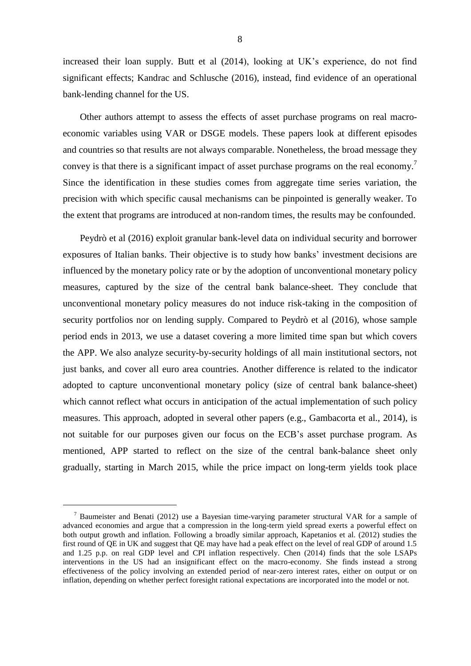increased their loan supply. Butt et al (2014), looking at UK's experience, do not find significant effects; Kandrac and Schlusche (2016), instead, find evidence of an operational bank-lending channel for the US.

Other authors attempt to assess the effects of asset purchase programs on real macroeconomic variables using VAR or DSGE models. These papers look at different episodes and countries so that results are not always comparable. Nonetheless, the broad message they convey is that there is a significant impact of asset purchase programs on the real economy.<sup>7</sup> Since the identification in these studies comes from aggregate time series variation, the precision with which specific causal mechanisms can be pinpointed is generally weaker. To the extent that programs are introduced at non-random times, the results may be confounded.

Peydrò et al (2016) exploit granular bank-level data on individual security and borrower exposures of Italian banks. Their objective is to study how banks' investment decisions are influenced by the monetary policy rate or by the adoption of unconventional monetary policy measures, captured by the size of the central bank balance-sheet. They conclude that unconventional monetary policy measures do not induce risk-taking in the composition of security portfolios nor on lending supply. Compared to Peydrò et al (2016), whose sample period ends in 2013, we use a dataset covering a more limited time span but which covers the APP. We also analyze security-by-security holdings of all main institutional sectors, not just banks, and cover all euro area countries. Another difference is related to the indicator adopted to capture unconventional monetary policy (size of central bank balance-sheet) which cannot reflect what occurs in anticipation of the actual implementation of such policy measures. This approach, adopted in several other papers (e.g., Gambacorta et al., 2014), is not suitable for our purposes given our focus on the ECB's asset purchase program. As mentioned, APP started to reflect on the size of the central bank-balance sheet only gradually, starting in March 2015, while the price impact on long-term yields took place

-

<sup>&</sup>lt;sup>7</sup> Baumeister and Benati (2012) use a Bayesian time-varying parameter structural VAR for a sample of advanced economies and argue that a compression in the long-term yield spread exerts a powerful effect on both output growth and inflation. Following a broadly similar approach, Kapetanios et al. (2012) studies the first round of QE in UK and suggest that QE may have had a peak effect on the level of real GDP of around 1.5 and 1.25 p.p. on real GDP level and CPI inflation respectively. Chen (2014) finds that the sole LSAPs interventions in the US had an insignificant effect on the macro-economy. She finds instead a strong effectiveness of the policy involving an extended period of near-zero interest rates, either on output or on inflation, depending on whether perfect foresight rational expectations are incorporated into the model or not.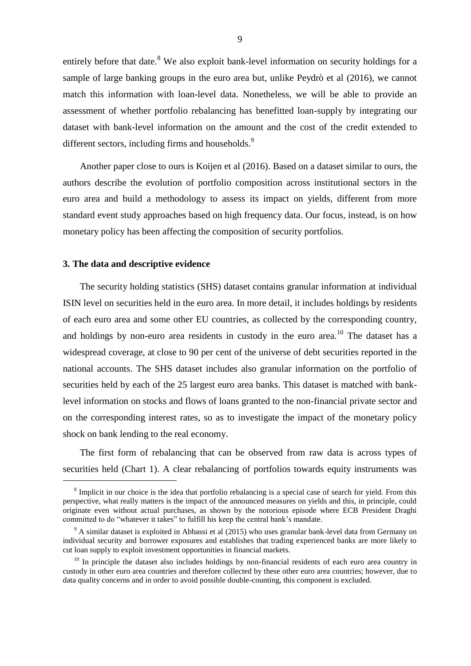entirely before that date.<sup>8</sup> We also exploit bank-level information on security holdings for a sample of large banking groups in the euro area but, unlike Peydrò et al (2016), we cannot match this information with loan-level data. Nonetheless, we will be able to provide an assessment of whether portfolio rebalancing has benefitted loan-supply by integrating our dataset with bank-level information on the amount and the cost of the credit extended to different sectors, including firms and households.<sup>9</sup>

Another paper close to ours is Koijen et al (2016). Based on a dataset similar to ours, the authors describe the evolution of portfolio composition across institutional sectors in the euro area and build a methodology to assess its impact on yields, different from more standard event study approaches based on high frequency data. Our focus, instead, is on how monetary policy has been affecting the composition of security portfolios.

#### **3. The data and descriptive evidence**

1

The security holding statistics (SHS) dataset contains granular information at individual ISIN level on securities held in the euro area. In more detail, it includes holdings by residents of each euro area and some other EU countries, as collected by the corresponding country, and holdings by non-euro area residents in custody in the euro area.<sup>10</sup> The dataset has a widespread coverage, at close to 90 per cent of the universe of debt securities reported in the national accounts. The SHS dataset includes also granular information on the portfolio of securities held by each of the 25 largest euro area banks. This dataset is matched with banklevel information on stocks and flows of loans granted to the non-financial private sector and on the corresponding interest rates, so as to investigate the impact of the monetary policy shock on bank lending to the real economy.

The first form of rebalancing that can be observed from raw data is across types of securities held (Chart 1). A clear rebalancing of portfolios towards equity instruments was

 $8$  Implicit in our choice is the idea that portfolio rebalancing is a special case of search for yield. From this perspective, what really matters is the impact of the announced measures on yields and this, in principle, could originate even without actual purchases, as shown by the notorious episode where ECB President Draghi committed to do "whatever it takes" to fulfill his keep the central bank's mandate.

 $9$  A similar dataset is exploited in Abbassi et al (2015) who uses granular bank-level data from Germany on individual security and borrower exposures and establishes that trading experienced banks are more likely to cut loan supply to exploit investment opportunities in financial markets.

<sup>&</sup>lt;sup>10</sup> In principle the dataset also includes holdings by non-financial residents of each euro area country in custody in other euro area countries and therefore collected by these other euro area countries; however, due to data quality concerns and in order to avoid possible double-counting, this component is excluded.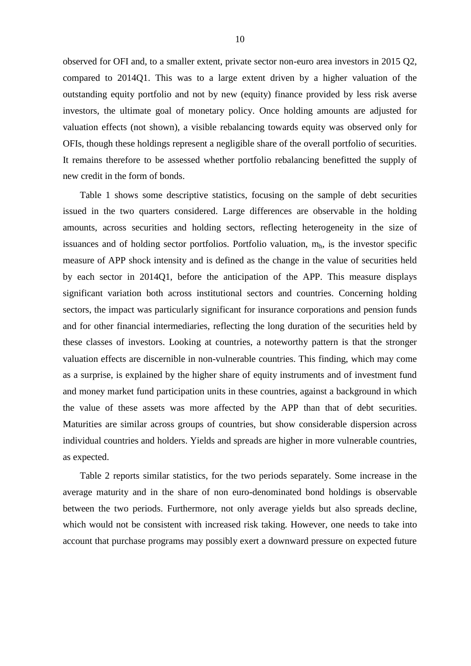observed for OFI and, to a smaller extent, private sector non-euro area investors in 2015 Q2, compared to 2014Q1. This was to a large extent driven by a higher valuation of the outstanding equity portfolio and not by new (equity) finance provided by less risk averse investors, the ultimate goal of monetary policy. Once holding amounts are adjusted for valuation effects (not shown), a visible rebalancing towards equity was observed only for OFIs, though these holdings represent a negligible share of the overall portfolio of securities. It remains therefore to be assessed whether portfolio rebalancing benefitted the supply of new credit in the form of bonds.

Table 1 shows some descriptive statistics, focusing on the sample of debt securities issued in the two quarters considered. Large differences are observable in the holding amounts, across securities and holding sectors, reflecting heterogeneity in the size of issuances and of holding sector portfolios. Portfolio valuation,  $m<sub>h</sub>$ , is the investor specific measure of APP shock intensity and is defined as the change in the value of securities held by each sector in 2014Q1, before the anticipation of the APP. This measure displays significant variation both across institutional sectors and countries. Concerning holding sectors, the impact was particularly significant for insurance corporations and pension funds and for other financial intermediaries, reflecting the long duration of the securities held by these classes of investors. Looking at countries, a noteworthy pattern is that the stronger valuation effects are discernible in non-vulnerable countries. This finding, which may come as a surprise, is explained by the higher share of equity instruments and of investment fund and money market fund participation units in these countries, against a background in which the value of these assets was more affected by the APP than that of debt securities. Maturities are similar across groups of countries, but show considerable dispersion across individual countries and holders. Yields and spreads are higher in more vulnerable countries, as expected.

Table 2 reports similar statistics, for the two periods separately. Some increase in the average maturity and in the share of non euro-denominated bond holdings is observable between the two periods. Furthermore, not only average yields but also spreads decline, which would not be consistent with increased risk taking. However, one needs to take into account that purchase programs may possibly exert a downward pressure on expected future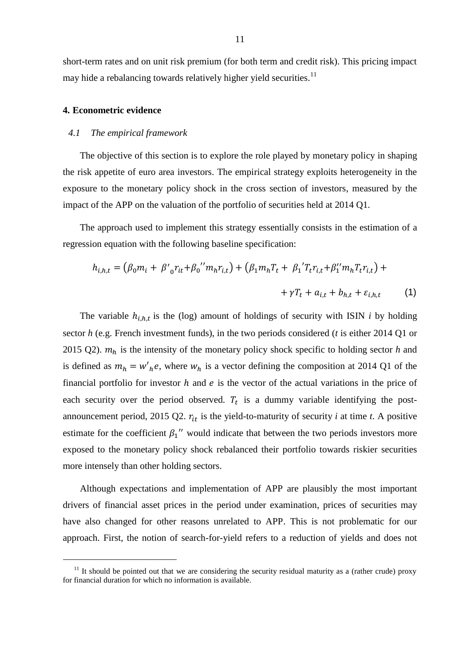short-term rates and on unit risk premium (for both term and credit risk). This pricing impact may hide a rebalancing towards relatively higher yield securities.<sup>11</sup>

### **4. Econometric evidence**

-

#### *4.1 The empirical framework*

The objective of this section is to explore the role played by monetary policy in shaping the risk appetite of euro area investors. The empirical strategy exploits heterogeneity in the exposure to the monetary policy shock in the cross section of investors, measured by the impact of the APP on the valuation of the portfolio of securities held at 2014 Q1.

The approach used to implement this strategy essentially consists in the estimation of a regression equation with the following baseline specification:

$$
h_{i,h,t} = (\beta_0 m_i + \beta'_{0} r_{it} + \beta_0'' m_h r_{i,t}) + (\beta_1 m_h T_t + \beta_1' T_t r_{i,t} + \beta''_{1} m_h T_t r_{i,t}) + \gamma T_t + a_{i,t} + b_{h,t} + \varepsilon_{i,h,t}
$$
 (1)

The variable  $h_{i,h,t}$  is the (log) amount of holdings of security with ISIN *i* by holding sector *h* (e.g. French investment funds), in the two periods considered (*t* is either 2014 Q1 or 2015 Q2).  $m_h$  is the intensity of the monetary policy shock specific to holding sector *h* and is defined as  $m_h = w'_h e$ , where  $w_h$  is a vector defining the composition at 2014 Q1 of the financial portfolio for investor  $h$  and  $e$  is the vector of the actual variations in the price of each security over the period observed.  $T_t$  is a dummy variable identifying the postannouncement period, 2015 Q2.  $r_{it}$  is the yield-to-maturity of security *i* at time *t*. A positive estimate for the coefficient  $\beta_1$ <sup>"</sup> would indicate that between the two periods investors more exposed to the monetary policy shock rebalanced their portfolio towards riskier securities more intensely than other holding sectors.

Although expectations and implementation of APP are plausibly the most important drivers of financial asset prices in the period under examination, prices of securities may have also changed for other reasons unrelated to APP. This is not problematic for our approach. First, the notion of search-for-yield refers to a reduction of yields and does not

 $11$  It should be pointed out that we are considering the security residual maturity as a (rather crude) proxy for financial duration for which no information is available.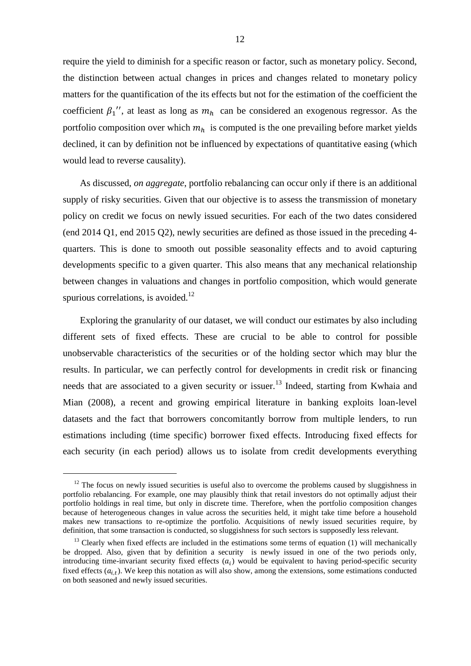require the yield to diminish for a specific reason or factor, such as monetary policy. Second, the distinction between actual changes in prices and changes related to monetary policy matters for the quantification of the its effects but not for the estimation of the coefficient the coefficient  $\beta_1$ '', at least as long as  $m_h$  can be considered an exogenous regressor. As the portfolio composition over which  $m_h$  is computed is the one prevailing before market yields declined, it can by definition not be influenced by expectations of quantitative easing (which would lead to reverse causality).

As discussed, *on aggregate*, portfolio rebalancing can occur only if there is an additional supply of risky securities. Given that our objective is to assess the transmission of monetary policy on credit we focus on newly issued securities. For each of the two dates considered (end 2014 Q1, end 2015 Q2), newly securities are defined as those issued in the preceding 4 quarters. This is done to smooth out possible seasonality effects and to avoid capturing developments specific to a given quarter. This also means that any mechanical relationship between changes in valuations and changes in portfolio composition, which would generate spurious correlations, is avoided. $12$ 

Exploring the granularity of our dataset, we will conduct our estimates by also including different sets of fixed effects. These are crucial to be able to control for possible unobservable characteristics of the securities or of the holding sector which may blur the results. In particular, we can perfectly control for developments in credit risk or financing needs that are associated to a given security or issuer.<sup>13</sup> Indeed, starting from Kwhaia and Mian (2008), a recent and growing empirical literature in banking exploits loan-level datasets and the fact that borrowers concomitantly borrow from multiple lenders, to run estimations including (time specific) borrower fixed effects. Introducing fixed effects for each security (in each period) allows us to isolate from credit developments everything

-

 $12$  The focus on newly issued securities is useful also to overcome the problems caused by sluggishness in portfolio rebalancing. For example, one may plausibly think that retail investors do not optimally adjust their portfolio holdings in real time, but only in discrete time. Therefore, when the portfolio composition changes because of heterogeneous changes in value across the securities held, it might take time before a household makes new transactions to re-optimize the portfolio. Acquisitions of newly issued securities require, by definition, that some transaction is conducted, so sluggishness for such sectors is supposedly less relevant.

 $<sup>13</sup>$  Clearly when fixed effects are included in the estimations some terms of equation (1) will mechanically</sup> be dropped. Also, given that by definition a security is newly issued in one of the two periods only, introducing time-invariant security fixed effects  $(a_i)$  would be equivalent to having period-specific security fixed effects  $(a_{i,t})$ . We keep this notation as will also show, among the extensions, some estimations conducted on both seasoned and newly issued securities.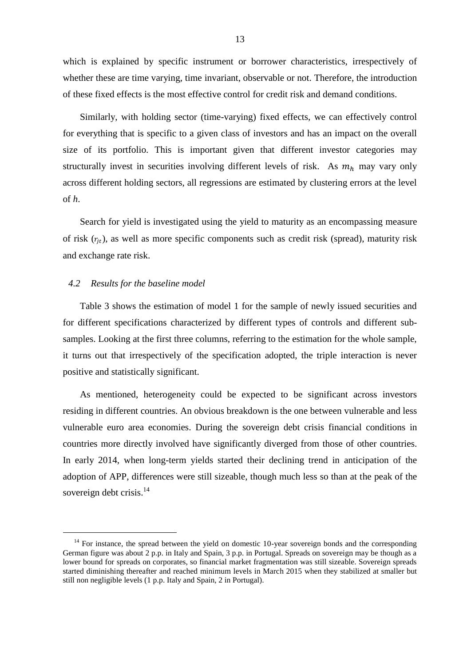which is explained by specific instrument or borrower characteristics, irrespectively of whether these are time varying, time invariant, observable or not. Therefore, the introduction of these fixed effects is the most effective control for credit risk and demand conditions.

Similarly, with holding sector (time-varying) fixed effects, we can effectively control for everything that is specific to a given class of investors and has an impact on the overall size of its portfolio. This is important given that different investor categories may structurally invest in securities involving different levels of risk. As  $m_h$  may vary only across different holding sectors, all regressions are estimated by clustering errors at the level of *h*.

Search for yield is investigated using the yield to maturity as an encompassing measure of risk  $(r_{it})$ , as well as more specific components such as credit risk (spread), maturity risk and exchange rate risk.

#### *4.2 Results for the baseline model*

-

Table 3 shows the estimation of model 1 for the sample of newly issued securities and for different specifications characterized by different types of controls and different subsamples. Looking at the first three columns, referring to the estimation for the whole sample, it turns out that irrespectively of the specification adopted, the triple interaction is never positive and statistically significant.

As mentioned, heterogeneity could be expected to be significant across investors residing in different countries. An obvious breakdown is the one between vulnerable and less vulnerable euro area economies. During the sovereign debt crisis financial conditions in countries more directly involved have significantly diverged from those of other countries. In early 2014, when long-term yields started their declining trend in anticipation of the adoption of APP, differences were still sizeable, though much less so than at the peak of the sovereign debt crisis.<sup>14</sup>

 $14$  For instance, the spread between the yield on domestic 10-year sovereign bonds and the corresponding German figure was about 2 p.p. in Italy and Spain, 3 p.p. in Portugal. Spreads on sovereign may be though as a lower bound for spreads on corporates, so financial market fragmentation was still sizeable. Sovereign spreads started diminishing thereafter and reached minimum levels in March 2015 when they stabilized at smaller but still non negligible levels (1 p.p. Italy and Spain, 2 in Portugal).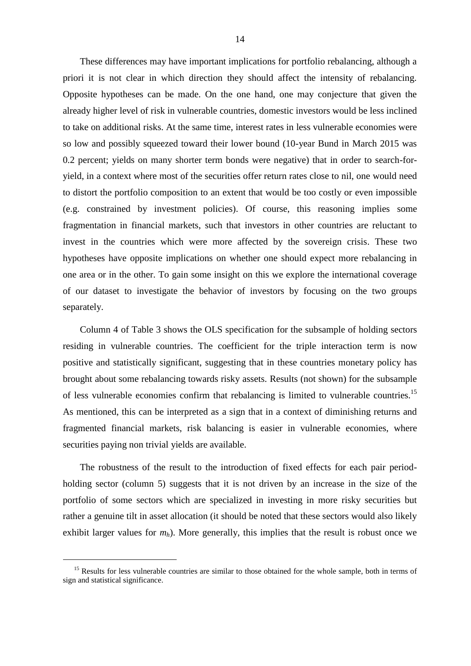These differences may have important implications for portfolio rebalancing, although a priori it is not clear in which direction they should affect the intensity of rebalancing. Opposite hypotheses can be made. On the one hand, one may conjecture that given the already higher level of risk in vulnerable countries, domestic investors would be less inclined to take on additional risks. At the same time, interest rates in less vulnerable economies were so low and possibly squeezed toward their lower bound (10-year Bund in March 2015 was 0.2 percent; yields on many shorter term bonds were negative) that in order to search-foryield, in a context where most of the securities offer return rates close to nil, one would need to distort the portfolio composition to an extent that would be too costly or even impossible (e.g. constrained by investment policies). Of course, this reasoning implies some fragmentation in financial markets, such that investors in other countries are reluctant to invest in the countries which were more affected by the sovereign crisis. These two hypotheses have opposite implications on whether one should expect more rebalancing in one area or in the other. To gain some insight on this we explore the international coverage of our dataset to investigate the behavior of investors by focusing on the two groups separately.

Column 4 of Table 3 shows the OLS specification for the subsample of holding sectors residing in vulnerable countries. The coefficient for the triple interaction term is now positive and statistically significant, suggesting that in these countries monetary policy has brought about some rebalancing towards risky assets. Results (not shown) for the subsample of less vulnerable economies confirm that rebalancing is limited to vulnerable countries.<sup>15</sup> As mentioned, this can be interpreted as a sign that in a context of diminishing returns and fragmented financial markets, risk balancing is easier in vulnerable economies, where securities paying non trivial yields are available.

The robustness of the result to the introduction of fixed effects for each pair periodholding sector (column 5) suggests that it is not driven by an increase in the size of the portfolio of some sectors which are specialized in investing in more risky securities but rather a genuine tilt in asset allocation (it should be noted that these sectors would also likely exhibit larger values for  $m_h$ ). More generally, this implies that the result is robust once we

-

<sup>&</sup>lt;sup>15</sup> Results for less vulnerable countries are similar to those obtained for the whole sample, both in terms of sign and statistical significance.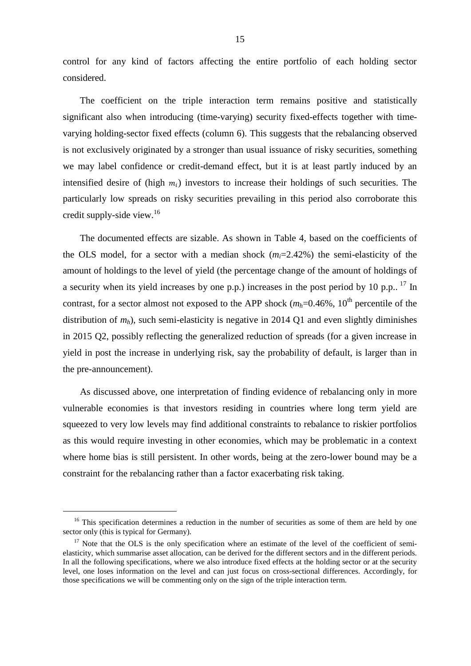control for any kind of factors affecting the entire portfolio of each holding sector considered.

The coefficient on the triple interaction term remains positive and statistically significant also when introducing (time-varying) security fixed-effects together with timevarying holding-sector fixed effects (column 6). This suggests that the rebalancing observed is not exclusively originated by a stronger than usual issuance of risky securities, something we may label confidence or credit-demand effect, but it is at least partly induced by an intensified desire of (high  $m_i$ ) investors to increase their holdings of such securities. The particularly low spreads on risky securities prevailing in this period also corroborate this credit supply-side view. 16

The documented effects are sizable. As shown in Table 4, based on the coefficients of the OLS model, for a sector with a median shock  $(m_i=2.42\%)$  the semi-elasticity of the amount of holdings to the level of yield (the percentage change of the amount of holdings of a security when its yield increases by one p.p.) increases in the post period by 10 p.p..  $^{17}$  In contrast, for a sector almost not exposed to the APP shock  $(m_h=0.46\%), 10^{\text{th}}$  percentile of the distribution of  $m_h$ ), such semi-elasticity is negative in 2014 Q1 and even slightly diminishes in 2015 Q2, possibly reflecting the generalized reduction of spreads (for a given increase in yield in post the increase in underlying risk, say the probability of default, is larger than in the pre-announcement).

As discussed above, one interpretation of finding evidence of rebalancing only in more vulnerable economies is that investors residing in countries where long term yield are squeezed to very low levels may find additional constraints to rebalance to riskier portfolios as this would require investing in other economies, which may be problematic in a context where home bias is still persistent. In other words, being at the zero-lower bound may be a constraint for the rebalancing rather than a factor exacerbating risk taking.

-

<sup>&</sup>lt;sup>16</sup> This specification determines a reduction in the number of securities as some of them are held by one sector only (this is typical for Germany).

<sup>&</sup>lt;sup>17</sup> Note that the OLS is the only specification where an estimate of the level of the coefficient of semielasticity, which summarise asset allocation, can be derived for the different sectors and in the different periods. In all the following specifications, where we also introduce fixed effects at the holding sector or at the security level, one loses information on the level and can just focus on cross-sectional differences. Accordingly, for those specifications we will be commenting only on the sign of the triple interaction term.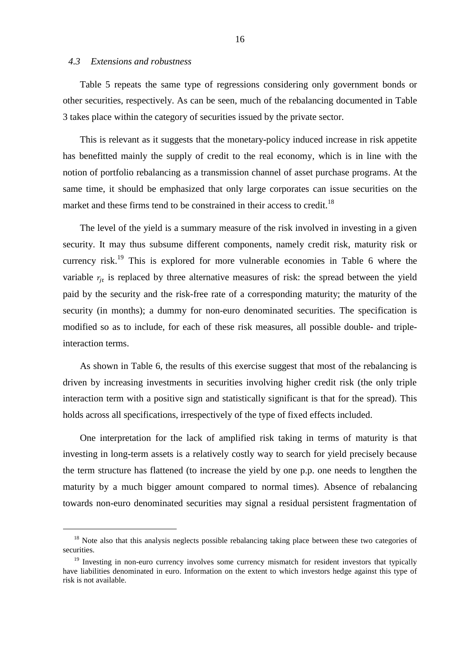### *4.3 Extensions and robustness*

-

Table 5 repeats the same type of regressions considering only government bonds or other securities, respectively. As can be seen, much of the rebalancing documented in Table 3 takes place within the category of securities issued by the private sector.

This is relevant as it suggests that the monetary-policy induced increase in risk appetite has benefitted mainly the supply of credit to the real economy, which is in line with the notion of portfolio rebalancing as a transmission channel of asset purchase programs. At the same time, it should be emphasized that only large corporates can issue securities on the market and these firms tend to be constrained in their access to credit.<sup>18</sup>

The level of the yield is a summary measure of the risk involved in investing in a given security. It may thus subsume different components, namely credit risk, maturity risk or currency risk.<sup>19</sup> This is explored for more vulnerable economies in Table 6 where the variable  $r_{jt}$  is replaced by three alternative measures of risk: the spread between the yield paid by the security and the risk-free rate of a corresponding maturity; the maturity of the security (in months); a dummy for non-euro denominated securities. The specification is modified so as to include, for each of these risk measures, all possible double- and tripleinteraction terms.

As shown in Table 6, the results of this exercise suggest that most of the rebalancing is driven by increasing investments in securities involving higher credit risk (the only triple interaction term with a positive sign and statistically significant is that for the spread). This holds across all specifications, irrespectively of the type of fixed effects included.

One interpretation for the lack of amplified risk taking in terms of maturity is that investing in long-term assets is a relatively costly way to search for yield precisely because the term structure has flattened (to increase the yield by one p.p. one needs to lengthen the maturity by a much bigger amount compared to normal times). Absence of rebalancing towards non-euro denominated securities may signal a residual persistent fragmentation of

<sup>&</sup>lt;sup>18</sup> Note also that this analysis neglects possible rebalancing taking place between these two categories of securities.

<sup>&</sup>lt;sup>19</sup> Investing in non-euro currency involves some currency mismatch for resident investors that typically have liabilities denominated in euro. Information on the extent to which investors hedge against this type of risk is not available.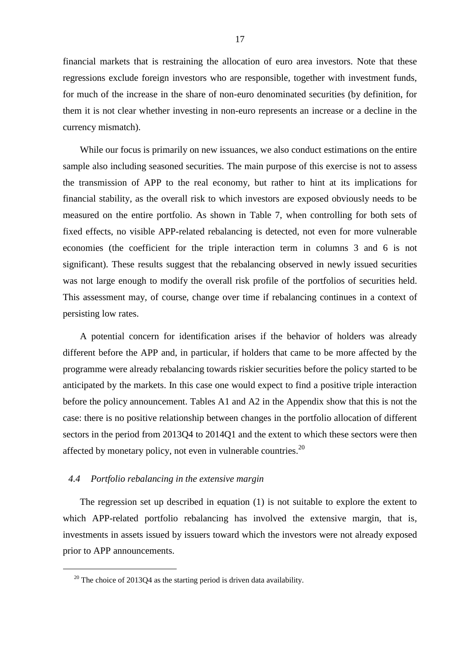financial markets that is restraining the allocation of euro area investors. Note that these regressions exclude foreign investors who are responsible, together with investment funds, for much of the increase in the share of non-euro denominated securities (by definition, for them it is not clear whether investing in non-euro represents an increase or a decline in the currency mismatch).

While our focus is primarily on new issuances, we also conduct estimations on the entire sample also including seasoned securities. The main purpose of this exercise is not to assess the transmission of APP to the real economy, but rather to hint at its implications for financial stability, as the overall risk to which investors are exposed obviously needs to be measured on the entire portfolio. As shown in Table 7, when controlling for both sets of fixed effects, no visible APP-related rebalancing is detected, not even for more vulnerable economies (the coefficient for the triple interaction term in columns 3 and 6 is not significant). These results suggest that the rebalancing observed in newly issued securities was not large enough to modify the overall risk profile of the portfolios of securities held. This assessment may, of course, change over time if rebalancing continues in a context of persisting low rates.

A potential concern for identification arises if the behavior of holders was already different before the APP and, in particular, if holders that came to be more affected by the programme were already rebalancing towards riskier securities before the policy started to be anticipated by the markets. In this case one would expect to find a positive triple interaction before the policy announcement. Tables A1 and A2 in the Appendix show that this is not the case: there is no positive relationship between changes in the portfolio allocation of different sectors in the period from 2013Q4 to 2014Q1 and the extent to which these sectors were then affected by monetary policy, not even in vulnerable countries.<sup>20</sup>

### *4.4 Portfolio rebalancing in the extensive margin*

1

The regression set up described in equation (1) is not suitable to explore the extent to which APP-related portfolio rebalancing has involved the extensive margin, that is, investments in assets issued by issuers toward which the investors were not already exposed prior to APP announcements.

 $20$  The choice of 2013Q4 as the starting period is driven data availability.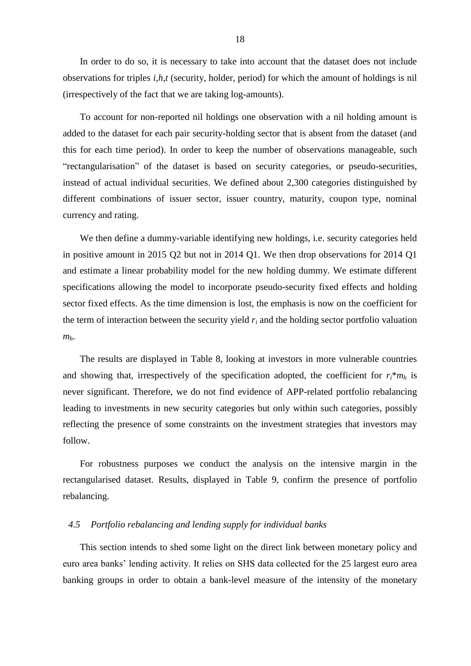In order to do so, it is necessary to take into account that the dataset does not include observations for triples *i*,*h*,*t* (security, holder, period) for which the amount of holdings is nil (irrespectively of the fact that we are taking log-amounts).

To account for non-reported nil holdings one observation with a nil holding amount is added to the dataset for each pair security-holding sector that is absent from the dataset (and this for each time period). In order to keep the number of observations manageable, such "rectangularisation" of the dataset is based on security categories, or pseudo-securities, instead of actual individual securities. We defined about 2,300 categories distinguished by different combinations of issuer sector, issuer country, maturity, coupon type, nominal currency and rating.

We then define a dummy-variable identifying new holdings, i.e. security categories held in positive amount in 2015 Q2 but not in 2014 Q1. We then drop observations for 2014 Q1 and estimate a linear probability model for the new holding dummy. We estimate different specifications allowing the model to incorporate pseudo-security fixed effects and holding sector fixed effects. As the time dimension is lost, the emphasis is now on the coefficient for the term of interaction between the security yield  $r_i$  and the holding sector portfolio valuation *mh*.

The results are displayed in Table 8, looking at investors in more vulnerable countries and showing that, irrespectively of the specification adopted, the coefficient for  $r_i^*m_h$  is never significant. Therefore, we do not find evidence of APP-related portfolio rebalancing leading to investments in new security categories but only within such categories, possibly reflecting the presence of some constraints on the investment strategies that investors may follow.

For robustness purposes we conduct the analysis on the intensive margin in the rectangularised dataset. Results, displayed in Table 9, confirm the presence of portfolio rebalancing.

### *4.5 Portfolio rebalancing and lending supply for individual banks*

This section intends to shed some light on the direct link between monetary policy and euro area banks' lending activity. It relies on SHS data collected for the 25 largest euro area banking groups in order to obtain a bank-level measure of the intensity of the monetary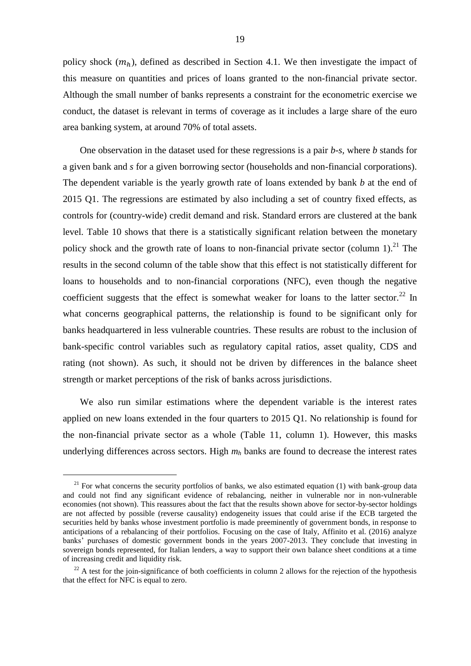policy shock  $(m_h)$ , defined as described in Section 4.1. We then investigate the impact of this measure on quantities and prices of loans granted to the non-financial private sector. Although the small number of banks represents a constraint for the econometric exercise we conduct, the dataset is relevant in terms of coverage as it includes a large share of the euro area banking system, at around 70% of total assets.

One observation in the dataset used for these regressions is a pair *b-s,* where *b* stands for a given bank and *s* for a given borrowing sector (households and non-financial corporations). The dependent variable is the yearly growth rate of loans extended by bank *b* at the end of 2015 Q1. The regressions are estimated by also including a set of country fixed effects, as controls for (country-wide) credit demand and risk. Standard errors are clustered at the bank level. Table 10 shows that there is a statistically significant relation between the monetary policy shock and the growth rate of loans to non-financial private sector (column  $1$ ).<sup>21</sup> The results in the second column of the table show that this effect is not statistically different for loans to households and to non-financial corporations (NFC), even though the negative coefficient suggests that the effect is somewhat weaker for loans to the latter sector.<sup>22</sup> In what concerns geographical patterns, the relationship is found to be significant only for banks headquartered in less vulnerable countries. These results are robust to the inclusion of bank-specific control variables such as regulatory capital ratios, asset quality, CDS and rating (not shown). As such, it should not be driven by differences in the balance sheet strength or market perceptions of the risk of banks across jurisdictions.

We also run similar estimations where the dependent variable is the interest rates applied on new loans extended in the four quarters to 2015 Q1. No relationship is found for the non-financial private sector as a whole (Table 11, column 1). However, this masks underlying differences across sectors. High *m<sup>h</sup>* banks are found to decrease the interest rates

1

<sup>&</sup>lt;sup>21</sup> For what concerns the security portfolios of banks, we also estimated equation (1) with bank-group data and could not find any significant evidence of rebalancing, neither in vulnerable nor in non-vulnerable economies (not shown). This reassures about the fact that the results shown above for sector-by-sector holdings are not affected by possible (reverse causality) endogeneity issues that could arise if the ECB targeted the securities held by banks whose investment portfolio is made preeminently of government bonds, in response to anticipations of a rebalancing of their portfolios. Focusing on the case of Italy, Affinito et al. (2016) analyze banks' purchases of domestic government bonds in the years 2007-2013. They conclude that investing in sovereign bonds represented, for Italian lenders, a way to support their own balance sheet conditions at a time of increasing credit and liquidity risk.

 $22$  A test for the join-significance of both coefficients in column 2 allows for the rejection of the hypothesis that the effect for NFC is equal to zero.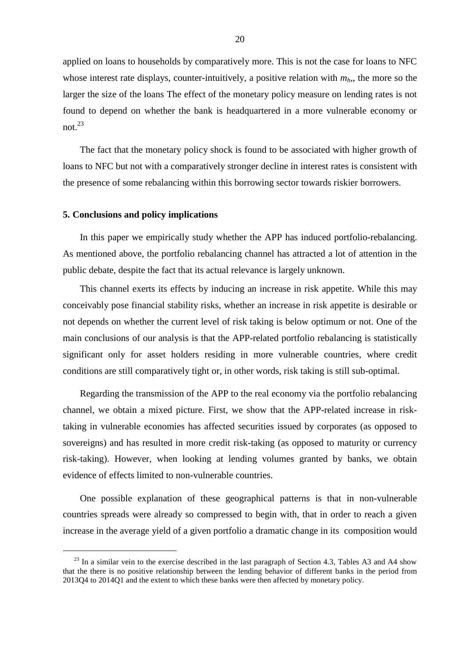applied on loans to households by comparatively more. This is not the case for loans to NFC whose interest rate displays, counter-intuitively, a positive relation with  $m_h$ , the more so the larger the size of the loans The effect of the monetary policy measure on lending rates is not found to depend on whether the bank is headquartered in a more vulnerable economy or not.<sup>23</sup>

The fact that the monetary policy shock is found to be associated with higher growth of loans to NFC but not with a comparatively stronger decline in interest rates is consistent with the presence of some rebalancing within this borrowing sector towards riskier borrowers.

#### **5. Conclusions and policy implications**

-

In this paper we empirically study whether the APP has induced portfolio-rebalancing. As mentioned above, the portfolio rebalancing channel has attracted a lot of attention in the public debate, despite the fact that its actual relevance is largely unknown.

This channel exerts its effects by inducing an increase in risk appetite. While this may conceivably pose financial stability risks, whether an increase in risk appetite is desirable or not depends on whether the current level of risk taking is below optimum or not. One of the main conclusions of our analysis is that the APP-related portfolio rebalancing is statistically significant only for asset holders residing in more vulnerable countries, where credit conditions are still comparatively tight or, in other words, risk taking is still sub-optimal.

Regarding the transmission of the APP to the real economy via the portfolio rebalancing channel, we obtain a mixed picture. First, we show that the APP-related increase in risktaking in vulnerable economies has affected securities issued by corporates (as opposed to sovereigns) and has resulted in more credit risk-taking (as opposed to maturity or currency risk-taking). However, when looking at lending volumes granted by banks, we obtain evidence of effects limited to non-vulnerable countries.

One possible explanation of these geographical patterns is that in non-vulnerable countries spreads were already so compressed to begin with, that in order to reach a given increase in the average yield of a given portfolio a dramatic change in its composition would

 $^{23}$  In a similar vein to the exercise described in the last paragraph of Section 4.3, Tables A3 and A4 show that the there is no positive relationship between the lending behavior of different banks in the period from 2013Q4 to 2014Q1 and the extent to which these banks were then affected by monetary policy.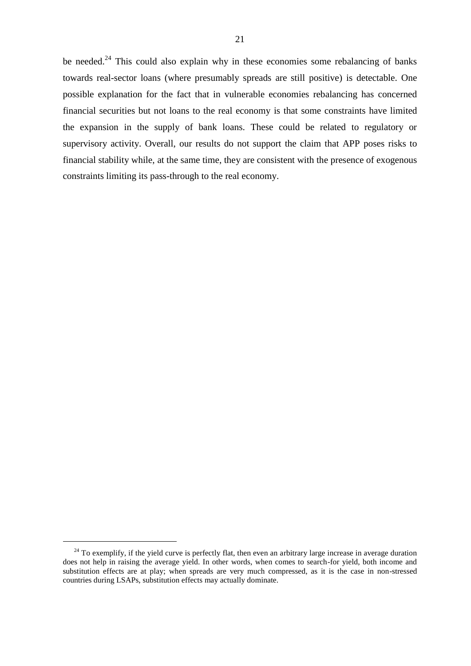be needed.<sup>24</sup> This could also explain why in these economies some rebalancing of banks towards real-sector loans (where presumably spreads are still positive) is detectable. One possible explanation for the fact that in vulnerable economies rebalancing has concerned financial securities but not loans to the real economy is that some constraints have limited the expansion in the supply of bank loans. These could be related to regulatory or supervisory activity. Overall, our results do not support the claim that APP poses risks to financial stability while, at the same time, they are consistent with the presence of exogenous constraints limiting its pass-through to the real economy.

1

 $^{24}$  To exemplify, if the yield curve is perfectly flat, then even an arbitrary large increase in average duration does not help in raising the average yield. In other words, when comes to search-for yield, both income and substitution effects are at play; when spreads are very much compressed, as it is the case in non-stressed countries during LSAPs, substitution effects may actually dominate.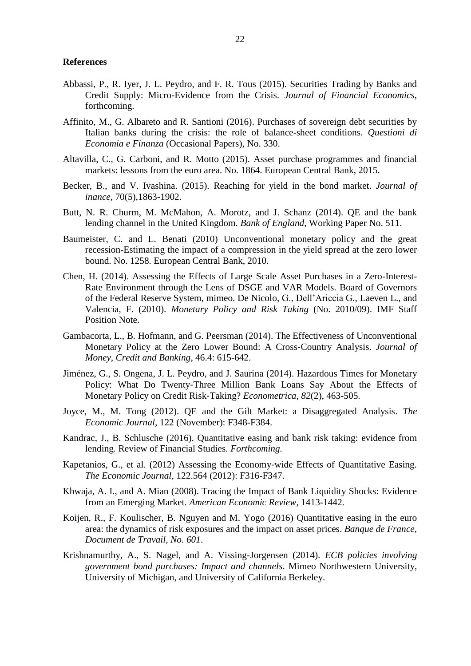#### **References**

- Abbassi, P., R. Iyer, J. L. Peydro, and F. R. Tous (2015). Securities Trading by Banks and Credit Supply: Micro-Evidence from the Crisis. *Journal of Financial Economics*, forthcoming.
- Affinito, M., G. Albareto and R. Santioni (2016). Purchases of sovereign debt securities by Italian banks during the crisis: the role of balance-sheet conditions. *Questioni di Economia e Finanza* (Occasional Papers), No. 330.
- Altavilla, C., G. Carboni, and R. Motto (2015). Asset purchase programmes and financial markets: lessons from the euro area. No. 1864. European Central Bank, 2015.
- Becker, B., and V. Ivashina. (2015). Reaching for yield in the bond market. *Journal of inance*, 70(5),1863-1902.
- Butt, N. R. Churm, M. McMahon, A. Morotz, and J. Schanz (2014). QE and the bank lending channel in the United Kingdom. *Bank of England*, Working Paper No. 511.
- Baumeister, C. and L. Benati (2010) Unconventional monetary policy and the great recession-Estimating the impact of a compression in the yield spread at the zero lower bound. No. 1258. European Central Bank, 2010.
- Chen, H. (2014). Assessing the Effects of Large Scale Asset Purchases in a Zero-Interest-Rate Environment through the Lens of DSGE and VAR Models. Board of Governors of the Federal Reserve System, mimeo. De Nicolo, G., Dell'Ariccia G., Laeven L., and Valencia, F. (2010). *Monetary Policy and Risk Taking* (No. 2010/09). IMF Staff Position Note.
- Gambacorta, L., B. Hofmann, and G. Peersman (2014). The Effectiveness of Unconventional Monetary Policy at the Zero Lower Bound: A Cross‐Country Analysis. *Journal of Money, Credit and Banking*, 46.4: 615-642.
- Jiménez, G., S. Ongena, J. L. Peydro, and J. Saurina (2014). Hazardous Times for Monetary Policy: What Do Twenty-Three Million Bank Loans Say About the Effects of Monetary Policy on Credit Risk-Taking? *Econometrica*, *82*(2), 463-505.
- Joyce, M., M. Tong (2012). QE and the Gilt Market: a Disaggregated Analysis. *The Economic Journal*, 122 (November): F348-F384.
- Kandrac, J., B. Schlusche (2016). Quantitative easing and bank risk taking: evidence from lending. Review of Financial Studies. *Forthcoming.*
- Kapetanios, G., et al. (2012) Assessing the Economy-wide Effects of Quantitative Easing. *The Economic Journal*, 122.564 (2012): F316-F347.
- Khwaja, A. I., and A. Mian (2008). Tracing the Impact of Bank Liquidity Shocks: Evidence from an Emerging Market. *American Economic Review*, 1413-1442.
- Koijen, R., F. Koulischer, B. Nguyen and M. Yogo (2016) Quantitative easing in the euro area: the dynamics of risk exposures and the impact on asset prices. *Banque de France, Document de Travail, No. 601*.
- Krishnamurthy, A., S. Nagel, and A. Vissing-Jorgensen (2014). *ECB policies involving government bond purchases: Impact and channels*. Mimeo Northwestern University, University of Michigan, and University of California Berkeley.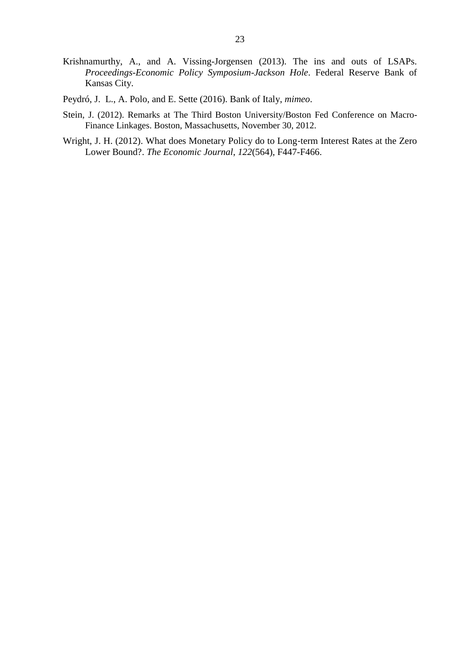- Krishnamurthy, A., and A. Vissing-Jorgensen (2013). The ins and outs of LSAPs. *Proceedings-Economic Policy Symposium-Jackson Hole*. Federal Reserve Bank of Kansas City.
- Peydró, J. L., A. Polo, and E. Sette (2016). Bank of Italy, *mimeo*.
- Stein, J. (2012). Remarks at The Third Boston University/Boston Fed Conference on Macro-Finance Linkages. Boston, Massachusetts, November 30, 2012.
- Wright, J. H. (2012). What does Monetary Policy do to Long‐term Interest Rates at the Zero Lower Bound?. *The Economic Journal*, *122*(564), F447-F466.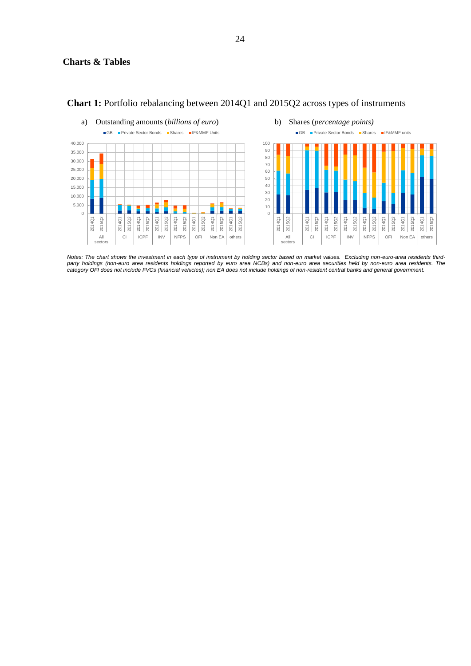

### **Chart 1:** Portfolio rebalancing between 2014Q1 and 2015Q2 across types of instruments

*Notes: The chart shows the investment in each type of instrument by holding sector based on market values. Excluding non-euro-area residents thirdparty holdings (non-euro area residents holdings reported by euro area NCBs) and non-euro area securities held by non-euro area residents. The category OFI does not include FVCs (financial vehicles); non EA does not include holdings of non-resident central banks and general government.*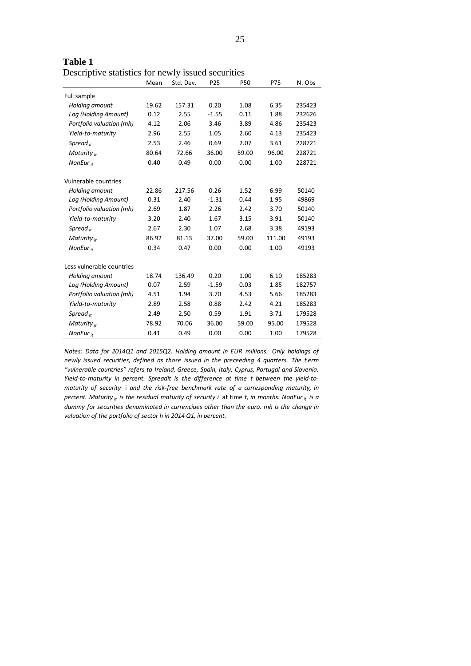| Descriptive statistics for newly issued securities | Mean  | Std. Dev. | P <sub>25</sub> | <b>P50</b> | P75    | N. Obs |
|----------------------------------------------------|-------|-----------|-----------------|------------|--------|--------|
| Full sample                                        |       |           |                 |            |        |        |
| Holding amount                                     | 19.62 | 157.31    | 0.20            | 1.08       | 6.35   | 235423 |
| Log (Holding Amount)                               | 0.12  | 2.55      | $-1.55$         | 0.11       | 1.88   | 232626 |
| Portfolio valuation (mh)                           | 4.12  | 2.06      | 3.46            | 3.89       | 4.86   | 235423 |
| Yield-to-maturity                                  | 2.96  | 2.55      | 1.05            | 2.60       | 4.13   | 235423 |
| Spread $\mu$                                       | 2.53  | 2.46      | 0.69            | 2.07       | 3.61   | 228721 |
| Maturity $_{it}$                                   | 80.64 | 72.66     | 36.00           | 59.00      | 96.00  | 228721 |
| NonEur $_{it}$                                     | 0.40  | 0.49      | 0.00            | 0.00       | 1.00   | 228721 |
| Vulnerable countries                               |       |           |                 |            |        |        |
| Holding amount                                     | 22.86 | 217.56    | 0.26            | 1.52       | 6.99   | 50140  |
| Log (Holding Amount)                               | 0.31  | 2.40      | $-1.31$         | 0.44       | 1.95   | 49869  |
| Portfolio valuation (mh)                           | 2.69  | 1.87      | 2.26            | 2.42       | 3.70   | 50140  |
| Yield-to-maturity                                  | 3.20  | 2.40      | 1.67            | 3.15       | 3.91   | 50140  |
| Spread $\mu$                                       | 2.67  | 2.30      | 1.07            | 2.68       | 3.38   | 49193  |
| Maturity $_{it}$                                   | 86.92 | 81.13     | 37.00           | 59.00      | 111.00 | 49193  |
| NonEur $_{it}$                                     | 0.34  | 0.47      | 0.00            | 0.00       | 1.00   | 49193  |
| Less vulnerable countries                          |       |           |                 |            |        |        |
| Holding amount                                     | 18.74 | 136.49    | 0.20            | 1.00       | 6.10   | 185283 |
| Log (Holding Amount)                               | 0.07  | 2.59      | $-1.59$         | 0.03       | 1.85   | 182757 |
| Portfolio valuation (mh)                           | 4.51  | 1.94      | 3.70            | 4.53       | 5.66   | 185283 |
| Yield-to-maturity                                  | 2.89  | 2.58      | 0.88            | 2.42       | 4.21   | 185283 |
| Spread $_{it}$                                     | 2.49  | 2.50      | 0.59            | 1.91       | 3.71   | 179528 |
| Maturity $_{it}$                                   | 78.92 | 70.06     | 36.00           | 59.00      | 95.00  | 179528 |
| NonEur $_{it}$                                     | 0.41  | 0.49      | 0.00            | 0.00       | 1.00   | 179528 |

**Table 1** Descriptive statistics for newly issued securities

*Notes: Data for 2014Q1 and 2015Q2. Holding amount in EUR millions. Only holdings of newly issued securities, defined as those issued in the preceeding 4 quarters. The t erm "vulnerable countries" refers to Ireland, Greece, Spain, Italy, Cyprus, Portugal and Slovenia. Yield-to-maturity in percent. Spreadit is the difference at time t between the yield-tomaturity of security* i *and the risk-free benchmark rate of a corresponding maturity, in percent. Maturity it is the residual maturity of security i* at time *t, in months. NonEurit is a dummy for securities denominated in currenciues other than the euro. mh is the change in valuation of the portfolio of sector h in 2014 Q1, in percent.*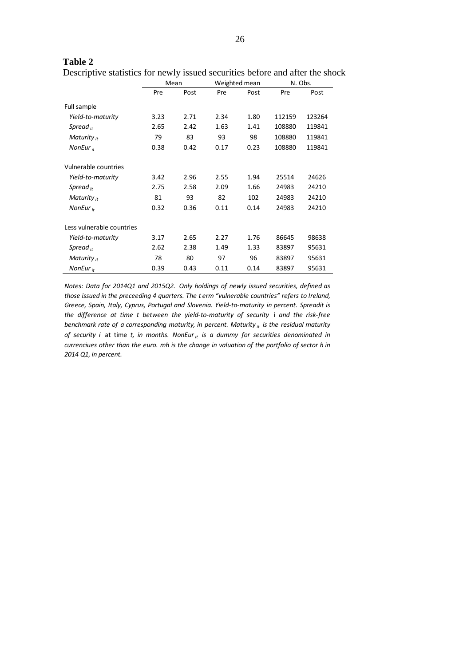|                           |      | Mean |      | Weighted mean | N. Obs. |        |
|---------------------------|------|------|------|---------------|---------|--------|
|                           | Pre  | Post | Pre  | Post          | Pre     | Post   |
| Full sample               |      |      |      |               |         |        |
| Yield-to-maturity         | 3.23 | 2.71 | 2.34 | 1.80          | 112159  | 123264 |
| Spread $_{it}$            | 2.65 | 2.42 | 1.63 | 1.41          | 108880  | 119841 |
| Maturity $_{it}$          | 79   | 83   | 93   | 98            | 108880  | 119841 |
| NonEur $_{it}$            | 0.38 | 0.42 | 0.17 | 0.23          | 108880  | 119841 |
| Vulnerable countries      |      |      |      |               |         |        |
| Yield-to-maturity         | 3.42 | 2.96 | 2.55 | 1.94          | 25514   | 24626  |
| Spread $_{it}$            | 2.75 | 2.58 | 2.09 | 1.66          | 24983   | 24210  |
| Maturity $_{it}$          | 81   | 93   | 82   | 102           | 24983   | 24210  |
| NonEur $_{it}$            | 0.32 | 0.36 | 0.11 | 0.14          | 24983   | 24210  |
| Less vulnerable countries |      |      |      |               |         |        |
| Yield-to-maturity         | 3.17 | 2.65 | 2.27 | 1.76          | 86645   | 98638  |
| Spread $_{it}$            | 2.62 | 2.38 | 1.49 | 1.33          | 83897   | 95631  |
| Maturity $_{it}$          | 78   | 80   | 97   | 96            | 83897   | 95631  |
| NonEur $_{it}$            | 0.39 | 0.43 | 0.11 | 0.14          | 83897   | 95631  |

Descriptive statistics for newly issued securities before and after the shock

*Notes: Data for 2014Q1 and 2015Q2. Only holdings of newly issued securities, defined as those issued in the preceeding 4 quarters. The t erm "vulnerable countries" refers to Ireland, Greece, Spain, Italy, Cyprus, Portugal and Slovenia. Yield-to-maturity in percent. Spreadit is the difference at time t between the yield-to-maturity of security* i *and the risk-free benchmark rate of a corresponding maturity, in percent. Maturity it is the residual maturity of security i* at time *t, in months. NonEurit is a dummy for securities denominated in currenciues other than the euro. mh is the change in valuation of the portfolio of sector h in 2014 Q1, in percent.*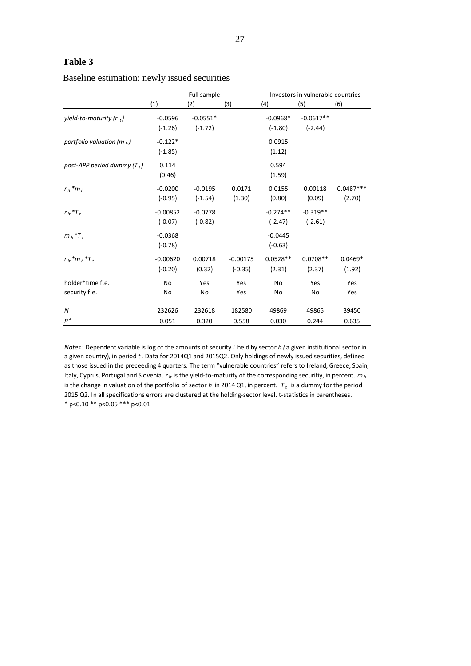|                                      | Full sample             |                         |                         | Investors in vulnerable countries |                          |                       |  |
|--------------------------------------|-------------------------|-------------------------|-------------------------|-----------------------------------|--------------------------|-----------------------|--|
|                                      | (1)                     | (2)                     | (3)                     | (4)                               | (5)                      | (6)                   |  |
| yield-to-maturity (r <sub>it</sub> ) | $-0.0596$<br>$(-1.26)$  | $-0.0551*$<br>$(-1.72)$ |                         | $-0.0968*$<br>$(-1.80)$           | $-0.0617**$<br>$(-2.44)$ |                       |  |
| portfolio valuation ( $m_h$ )        | $-0.122*$<br>$(-1.85)$  |                         |                         | 0.0915<br>(1.12)                  |                          |                       |  |
| post-APP period dummy $(T_t)$        | 0.114<br>(0.46)         |                         |                         | 0.594<br>(1.59)                   |                          |                       |  |
| $r_{it}$ * $m_h$                     | $-0.0200$<br>$(-0.95)$  | $-0.0195$<br>$(-1.54)$  | 0.0171<br>(1.30)        | 0.0155<br>(0.80)                  | 0.00118<br>(0.09)        | $0.0487***$<br>(2.70) |  |
| $r_{it}$ * $T_t$                     | $-0.00852$<br>$(-0.07)$ | $-0.0778$<br>$(-0.82)$  |                         | $-0.274**$<br>$(-2.47)$           | $-0.319**$<br>$(-2.61)$  |                       |  |
| $m_h$ * $T_t$                        | $-0.0368$<br>$(-0.78)$  |                         |                         | $-0.0445$<br>$(-0.63)$            |                          |                       |  |
| $r_{it}$ * $m_h$ * $T_t$             | $-0.00620$<br>$(-0.20)$ | 0.00718<br>(0.32)       | $-0.00175$<br>$(-0.35)$ | $0.0528**$<br>(2.31)              | $0.0708**$<br>(2.37)     | $0.0469*$<br>(1.92)   |  |
| holder*time f.e.<br>security f.e.    | No<br>No                | Yes<br>No               | Yes<br>Yes              | No<br>No                          | Yes<br>No                | Yes<br>Yes            |  |
| $\boldsymbol{N}$<br>$R^2$            | 232626<br>0.051         | 232618<br>0.320         | 182580<br>0.558         | 49869<br>0.030                    | 49865<br>0.244           | 39450<br>0.635        |  |

Baseline estimation: newly issued securities

*Notes*: Dependent variable is log of the amounts of security *i* held by sector *h (* a given institutional sector in a given country), in period *t*. Data for 2014Q1 and 2015Q2. Only holdings of newly issued securities, defined as those issued in the preceeding 4 quarters. The term "vulnerable countries" refers to Ireland, Greece, Spain, Italy, Cyprus, Portugal and Slovenia. *rit* is the yield-to-maturity of the corresponding securitiy, in percent. *m<sup>h</sup>* is the change in valuation of the portfolio of sector *h* in 2014 Q1, in percent. *T <sup>t</sup>* is a dummy for the period 2015 Q2. In all specifications errors are clustered at the holding-sector level. t-statistics in parentheses. \* p<0.10 \*\* p<0.05 \*\*\* p<0.01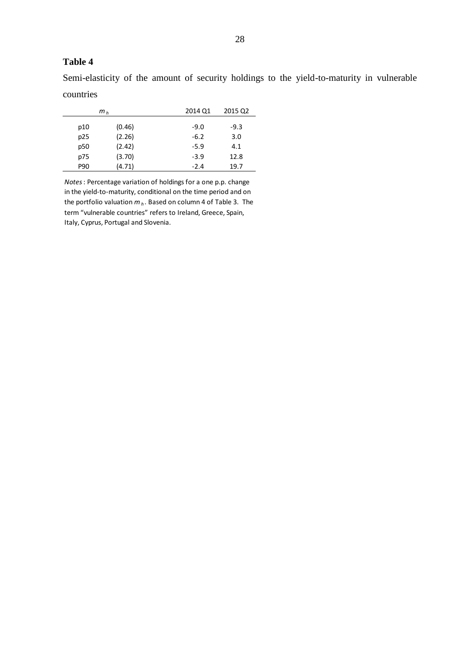Semi-elasticity of the amount of security holdings to the yield-to-maturity in vulnerable countries

|                 | m <sub>h</sub> | 2014 Q1 | 2015 Q2 |
|-----------------|----------------|---------|---------|
| p10             | (0.46)         | $-9.0$  | $-9.3$  |
| p25             | (2.26)         | $-6.2$  | 3.0     |
| p <sub>50</sub> | (2.42)         | $-5.9$  | 4.1     |
| p75             | (3.70)         | $-3.9$  | 12.8    |
| P90             | (4.71)         | $-2.4$  | 19.7    |

*Notes*: Percentage variation of holdings for a one p.p. change in the yield-to-maturity, conditional on the time period and on the portfolio valuation *m<sup>h</sup>* . Based on column 4 of Table 3. The term "vulnerable countries" refers to Ireland, Greece, Spain, Italy, Cyprus, Portugal and Slovenia.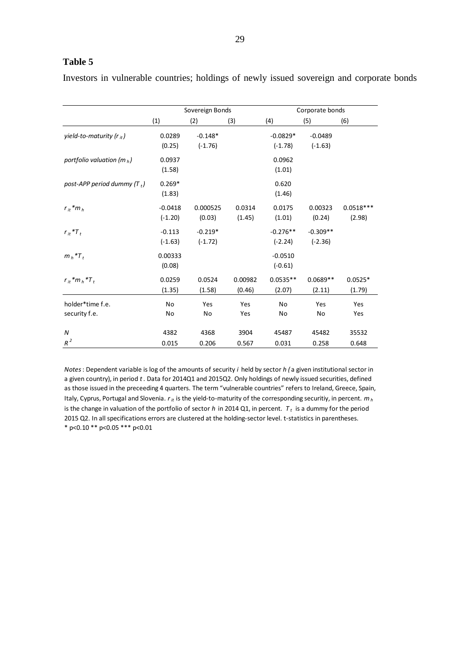Investors in vulnerable countries; holdings of newly issued sovereign and corporate bonds

|                                   |                        | Sovereign Bonds        |                   | Corporate bonds         |                         |                       |  |
|-----------------------------------|------------------------|------------------------|-------------------|-------------------------|-------------------------|-----------------------|--|
|                                   | (1)                    | (2)                    | (3)               | (4)                     | (5)                     | (6)                   |  |
| yield-to-maturity ( $r_{it}$ )    | 0.0289<br>(0.25)       | $-0.148*$<br>$(-1.76)$ |                   | $-0.0829*$<br>$(-1.78)$ | $-0.0489$<br>$(-1.63)$  |                       |  |
| portfolio valuation (m $_h$ )     | 0.0937<br>(1.58)       |                        |                   | 0.0962<br>(1.01)        |                         |                       |  |
| post-APP period dummy $(T_t)$     | $0.269*$<br>(1.83)     |                        |                   | 0.620<br>(1.46)         |                         |                       |  |
| $r_{it}$ * $m_h$                  | $-0.0418$<br>$(-1.20)$ | 0.000525<br>(0.03)     | 0.0314<br>(1.45)  | 0.0175<br>(1.01)        | 0.00323<br>(0.24)       | $0.0518***$<br>(2.98) |  |
| $r_{it}$ * $T_t$                  | $-0.113$<br>$(-1.63)$  | $-0.219*$<br>$(-1.72)$ |                   | $-0.276**$<br>$(-2.24)$ | $-0.309**$<br>$(-2.36)$ |                       |  |
| $m_h$ * $T_t$                     | 0.00333<br>(0.08)      |                        |                   | $-0.0510$<br>$(-0.61)$  |                         |                       |  |
| $r_{it}$ * $m_h$ * $T_t$          | 0.0259<br>(1.35)       | 0.0524<br>(1.58)       | 0.00982<br>(0.46) | $0.0535**$<br>(2.07)    | $0.0689**$<br>(2.11)    | $0.0525*$<br>(1.79)   |  |
| holder*time f.e.<br>security f.e. | <b>No</b><br>No        | Yes<br>No              | Yes<br>Yes        | No<br>No                | Yes<br>No               | Yes<br>Yes            |  |
| $\boldsymbol{N}$<br>$R^2$         | 4382<br>0.015          | 4368<br>0.206          | 3904<br>0.567     | 45487<br>0.031          | 45482<br>0.258          | 35532<br>0.648        |  |

*Notes*: Dependent variable is log of the amounts of security *i* held by sector *h (* a given institutional sector in a given country), in period *t*. Data for 2014Q1 and 2015Q2. Only holdings of newly issued securities, defined as those issued in the preceeding 4 quarters. The term "vulnerable countries" refers to Ireland, Greece, Spain, Italy, Cyprus, Portugal and Slovenia.  $r_{it}$  is the yield-to-maturity of the corresponding securitiy, in percent.  $m_h$ is the change in valuation of the portfolio of sector *h* in 2014 Q1, in percent. *T <sup>t</sup>* is a dummy for the period 2015 Q2. In all specifications errors are clustered at the holding-sector level. t-statistics in parentheses. \* p<0.10 \*\* p<0.05 \*\*\* p<0.01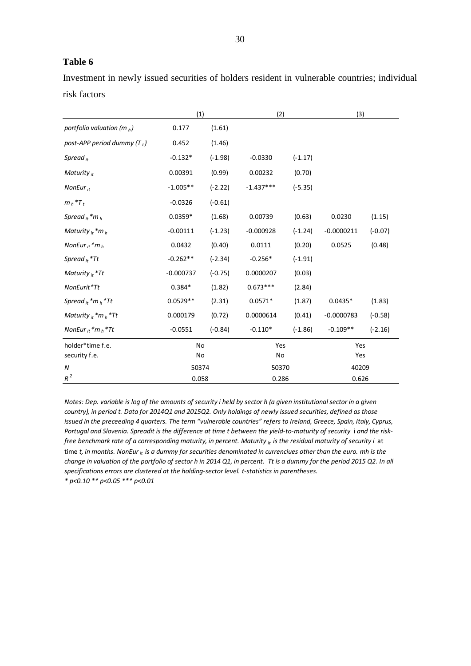Investment in newly issued securities of holders resident in vulnerable countries; individual risk factors

|                               | (1)         |           | (2)         |           | (3)          |           |
|-------------------------------|-------------|-----------|-------------|-----------|--------------|-----------|
| portfolio valuation (m $_h$ ) | 0.177       | (1.61)    |             |           |              |           |
| post-APP period dummy $(T_t)$ | 0.452       | (1.46)    |             |           |              |           |
| Spread $_{it}$                | $-0.132*$   | $(-1.98)$ | $-0.0330$   | $(-1.17)$ |              |           |
| Maturity $_{it}$              | 0.00391     | (0.99)    | 0.00232     | (0.70)    |              |           |
| NonEur $_{it}$                | $-1.005**$  | $(-2.22)$ | $-1.437***$ | $(-5.35)$ |              |           |
| $m_h$ * $T_t$                 | $-0.0326$   | $(-0.61)$ |             |           |              |           |
| Spread $_{it}$ *m $_h$        | $0.0359*$   | (1.68)    | 0.00739     | (0.63)    | 0.0230       | (1.15)    |
| Maturity $_{it}$ *m $_{h}$    | $-0.00111$  | $(-1.23)$ | $-0.000928$ | $(-1.24)$ | $-0.0000211$ | $(-0.07)$ |
| NonEur $_{it}$ *m $_h$        | 0.0432      | (0.40)    | 0.0111      | (0.20)    | 0.0525       | (0.48)    |
| Spread $_{it}$ *Tt            | $-0.262**$  | $(-2.34)$ | $-0.256*$   | $(-1.91)$ |              |           |
| Maturity $it * Tt$            | $-0.000737$ | $(-0.75)$ | 0.0000207   | (0.03)    |              |           |
| NonEurit*Tt                   | $0.384*$    | (1.82)    | $0.673***$  | (2.84)    |              |           |
| Spread $_{it}$ * $m_h$ * Tt   | $0.0529**$  | (2.31)    | $0.0571*$   | (1.87)    | $0.0435*$    | (1.83)    |
| Maturity $_{it}$ *m $_h$ *Tt  | 0.000179    | (0.72)    | 0.0000614   | (0.41)    | $-0.0000783$ | $(-0.58)$ |
| NonEur $_{it}$ *m $_h$ *Tt    | $-0.0551$   | $(-0.84)$ | $-0.110*$   | $(-1.86)$ | $-0.109**$   | $(-2.16)$ |
| holder*time f.e.              | No          |           | Yes         |           | Yes          |           |
| security f.e.                 | No          |           | No          |           | Yes          |           |
| N                             | 50374       |           | 50370       |           | 40209        |           |
| $R^2$                         | 0.058       |           | 0.286       |           | 0.626        |           |

*Notes: Dep. variable is log of the amounts of security i held by sector h (a given institutional sector in a given country), in period t. Data for 2014Q1 and 2015Q2. Only holdings of newly issued securities, defined as those issued in the preceeding 4 quarters. The term "vulnerable countries" refers to Ireland, Greece, Spain, Italy, Cyprus, Portugal and Slovenia. Spreadit is the difference at time t between the yield-to-maturity of security* i *and the riskfissued in the preceeding 4 quarters. The term "vulnerable countries" refers to Ireland, Greece, Spain, Italy, Cypr*<br>Portugal and Slovenia. Spreadit is the difference at time t between the yield-to-maturity of security i free benchmark rate of a corresponding maturity, in percent. Maturity <sub>it</sub> is the residual maturity of security i at<br>time t, in months. NonEur <sub>it</sub> is a dummy for securities denominated in currenciues other than the euro. *change in valuation of the portfolio of sector h in 2014 Q1, in percent. Tt is a dummy for the period 2015 Q2. In all specifications errors are clustered at the holding-sector level. t-statistics in parentheses. \* p<0.10 \*\* p<0.05 \*\*\* p<0.01*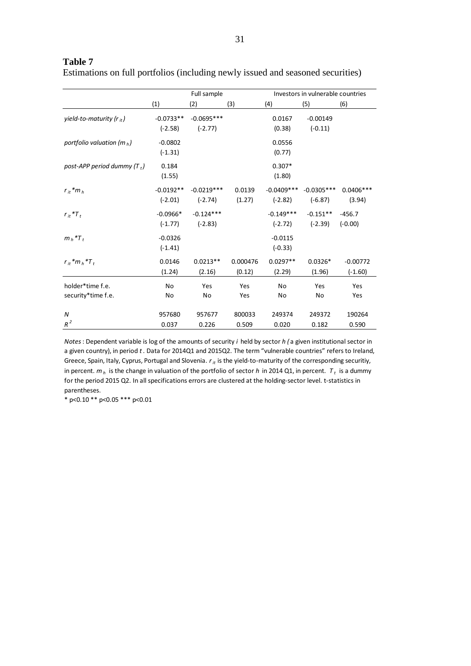| Estimations on full portfolios (including newly issued and seasoned securities) |  |  |  |  |
|---------------------------------------------------------------------------------|--|--|--|--|
|---------------------------------------------------------------------------------|--|--|--|--|

|                                        |                          | Full sample               |                    | Investors in vulnerable countries |                           |                         |  |
|----------------------------------------|--------------------------|---------------------------|--------------------|-----------------------------------|---------------------------|-------------------------|--|
|                                        | (1)                      | (2)                       | (3)                | (4)                               | (5)                       | (6)                     |  |
| yield-to-maturity ( $r_{it}$ )         | $-0.0733**$<br>$(-2.58)$ | $-0.0695***$<br>$(-2.77)$ |                    | 0.0167<br>(0.38)                  | $-0.00149$<br>$(-0.11)$   |                         |  |
| portfolio valuation (m $_h$ )          | $-0.0802$<br>$(-1.31)$   |                           |                    | 0.0556<br>(0.77)                  |                           |                         |  |
| post-APP period dummy $(T_t)$          | 0.184<br>(1.55)          |                           |                    | $0.307*$<br>(1.80)                |                           |                         |  |
| $r_{it}$ * $m_h$                       | $-0.0192**$<br>$(-2.01)$ | $-0.0219***$<br>$(-2.74)$ | 0.0139<br>(1.27)   | $-0.0409***$<br>$(-2.82)$         | $-0.0305***$<br>$(-6.87)$ | $0.0406***$<br>(3.94)   |  |
| $r_{it}$ * $T_t$                       | $-0.0966*$<br>$(-1.77)$  | $-0.124***$<br>$(-2.83)$  |                    | $-0.149***$<br>$(-2.72)$          | $-0.151**$<br>$(-2.39)$   | $-456.7$<br>$(-0.00)$   |  |
| $m_h$ <sup>*</sup> $T_t$               | $-0.0326$<br>$(-1.41)$   |                           |                    | $-0.0115$<br>$(-0.33)$            |                           |                         |  |
| $r_{it}$ * $m_h$ * $T_t$               | 0.0146<br>(1.24)         | $0.0213**$<br>(2.16)      | 0.000476<br>(0.12) | $0.0297**$<br>(2.29)              | $0.0326*$<br>(1.96)       | $-0.00772$<br>$(-1.60)$ |  |
| holder*time f.e.<br>security*time f.e. | <b>No</b><br>No          | Yes<br>No                 | Yes<br>Yes         | No<br>No                          | Yes<br>No                 | Yes<br>Yes              |  |
| N<br>$R^2$                             | 957680<br>0.037          | 957677<br>0.226           | 800033<br>0.509    | 249374<br>0.020                   | 249372<br>0.182           | 190264<br>0.590         |  |

*Notes*: Dependent variable is log of the amounts of security *i* held by sector *h (* a given institutional sector in a given country), in period *t*. Data for 2014Q1 and 2015Q2. The term "vulnerable countries" refers to Ireland, Greece, Spain, Italy, Cyprus, Portugal and Slovenia. *rit* is the yield-to-maturity of the corresponding securitiy, in percent. *m<sup>h</sup>* is the change in valuation of the portfolio of sector *h* in 2014 Q1, in percent. *T <sup>t</sup>* is a dummy for the period 2015 Q2. In all specifications errors are clustered at the holding-sector level. t-statistics in parentheses.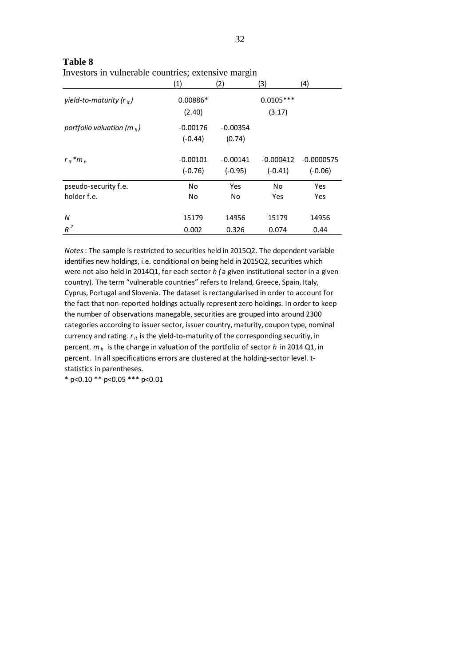|                                | (1)        | (2)        | (3)         | (4)          |
|--------------------------------|------------|------------|-------------|--------------|
| yield-to-maturity ( $r_{it}$ ) | $0.00886*$ |            | $0.0105***$ |              |
|                                | (2.40)     |            | (3.17)      |              |
| portfolio valuation (m $_h$ )  | $-0.00176$ | $-0.00354$ |             |              |
|                                | $(-0.44)$  | (0.74)     |             |              |
| $r_{it}$ * $m_h$               | $-0.00101$ | $-0.00141$ | $-0.000412$ | $-0.0000575$ |
|                                | $(-0.76)$  | $(-0.95)$  | $(-0.41)$   | $(-0.06)$    |
| pseudo-security f.e.           | No         | Yes        | No          | Yes          |
| holder f.e.                    | No.        | No         | Yes         | Yes          |
| N                              | 15179      | 14956      | 15179       | 14956        |
| $R^2$                          | 0.002      | 0.326      | 0.074       | 0.44         |

**Table 8** Investors in vulnerable countries; extensive margin

*Notes*: The sample is restricted to securities held in 2015Q2. The dependent variable identifies new holdings, i.e. conditional on being held in 2015Q2, securities which were not also held in 2014Q1, for each sector *h (* a given institutional sector in a given country). The term "vulnerable countries" refers to Ireland, Greece, Spain, Italy, Cyprus, Portugal and Slovenia. The dataset is rectangularised in order to account for the fact that non-reported holdings actually represent zero holdings. In order to keep the number of observations manegable, securities are grouped into around 2300 categories according to issuer sector, issuer country, maturity, coupon type, nominal currency and rating.  $r_{it}$  is the yield-to-maturity of the corresponding securitiy, in percent. *m<sup>h</sup>* is the change in valuation of the portfolio of sector *h* in 2014 Q1, in percent. In all specifications errors are clustered at the holding-sector level. tstatistics in parentheses.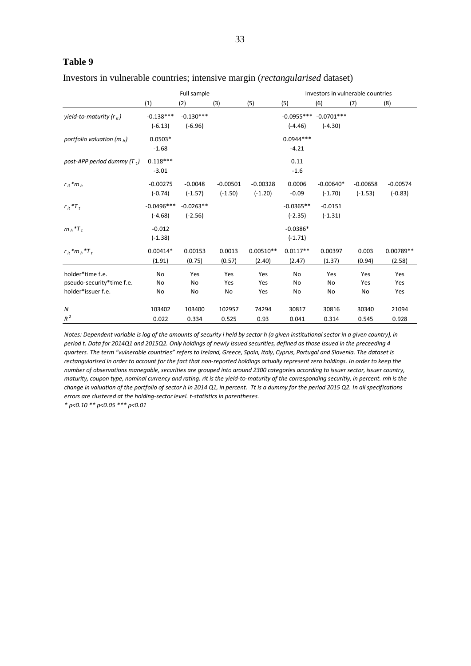|  |  |  |  |  |  | Investors in vulnerable countries; intensive margin ( <i>rectangularised</i> dataset) |  |
|--|--|--|--|--|--|---------------------------------------------------------------------------------------|--|
|--|--|--|--|--|--|---------------------------------------------------------------------------------------|--|

|                                                                     | Full sample               |                          |                         |                         | Investors in vulnerable countries |                           |                         |                         |
|---------------------------------------------------------------------|---------------------------|--------------------------|-------------------------|-------------------------|-----------------------------------|---------------------------|-------------------------|-------------------------|
|                                                                     | (1)                       | (2)                      | (3)                     | (5)                     | (5)                               | (6)                       | (7)                     | (8)                     |
| yield-to-maturity ( $r_{it}$ )                                      | $-0.138***$<br>$(-6.13)$  | $-0.130***$<br>$(-6.96)$ |                         |                         | $-0.0955***$<br>$(-4.46)$         | $-0.0701***$<br>$(-4.30)$ |                         |                         |
| portfolio valuation (m $_h$ )                                       | $0.0503*$<br>$-1.68$      |                          |                         |                         | $0.0944***$<br>$-4.21$            |                           |                         |                         |
| post-APP period dummy $(T_t)$                                       | $0.118***$<br>$-3.01$     |                          |                         |                         | 0.11<br>$-1.6$                    |                           |                         |                         |
| $r_{it}$ * $m_h$                                                    | $-0.00275$<br>$(-0.74)$   | $-0.0048$<br>$(-1.57)$   | $-0.00501$<br>$(-1.50)$ | $-0.00328$<br>$(-1.20)$ | 0.0006<br>$-0.09$                 | $-0.00640*$<br>$(-1.70)$  | $-0.00658$<br>$(-1.53)$ | $-0.00574$<br>$(-0.83)$ |
| $r_{it}$ * $T_t$                                                    | $-0.0496***$<br>$(-4.68)$ | $-0.0263**$<br>$(-2.56)$ |                         |                         | $-0.0365**$<br>$(-2.35)$          | $-0.0151$<br>$(-1.31)$    |                         |                         |
| $m_h$ <sup>*T</sup> <sub>t</sub>                                    | $-0.012$<br>$(-1.38)$     |                          |                         |                         | $-0.0386*$<br>$(-1.71)$           |                           |                         |                         |
| $r_{it}$ * $m_h$ * $T_t$                                            | $0.00414*$<br>(1.91)      | 0.00153<br>(0.75)        | 0.0013<br>(0.57)        | $0.00510**$<br>(2.40)   | $0.0117**$<br>(2.47)              | 0.00397<br>(1.37)         | 0.003<br>(0.94)         | $0.00789**$<br>(2.58)   |
| holder*time f.e.<br>pseudo-security*time f.e.<br>holder*issuer f.e. | <b>No</b><br>No<br>No     | Yes<br>No<br>No          | Yes<br>Yes<br>No        | Yes<br>Yes<br>Yes       | <b>No</b><br>No<br>No             | Yes<br>No<br>No           | Yes<br>Yes<br>No        | Yes<br>Yes<br>Yes       |
| N<br>$R^2$                                                          | 103402<br>0.022           | 103400<br>0.334          | 102957<br>0.525         | 74294<br>0.93           | 30817<br>0.041                    | 30816<br>0.314            | 30340<br>0.545          | 21094<br>0.928          |

*Notes: Dependent variable is log of the amounts of security i held by sector h (a given institutional sector in a given country), in period t. Data for 2014Q1 and 2015Q2. Only holdings of newly issued securities, defined as those issued in the preceeding 4 quarters. The term "vulnerable countries" refers to Ireland, Greece, Spain, Italy, Cyprus, Portugal and Slovenia. The dataset is rectangularised in order to account for the fact that non-reported holdings actually represent zero holdings. In order to keep the number of observations manegable, securities are grouped into around 2300 categories according to issuer sector, issuer country, maturity, coupon type, nominal currency and rating. rit is the yield-to-maturity of the corresponding securitiy, in percent. mh is the change in valuation of the portfolio of sector h in 2014 Q1, in percent. Tt is a dummy for the period 2015 Q2. In all specifications errors are clustered at the holding-sector level. t-statistics in parentheses.*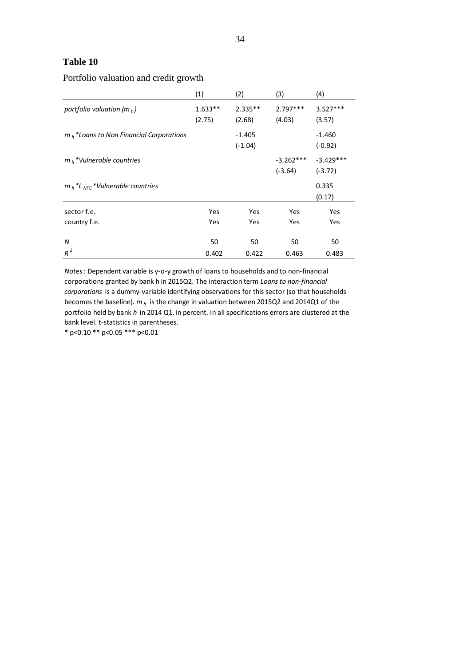## Portfolio valuation and credit growth

|                                                                       | (1)                 | (2)                   | (3)                      | (4)                      |
|-----------------------------------------------------------------------|---------------------|-----------------------|--------------------------|--------------------------|
| portfolio valuation (m $_h$ )                                         | $1.633**$<br>(2.75) | $2.335**$<br>(2.68)   | $2.797***$<br>(4.03)     | $3.527***$<br>(3.57)     |
| $m_h$ *Loans to Non Financial Corporations                            |                     | $-1.405$<br>$(-1.04)$ |                          | $-1.460$<br>$(-0.92)$    |
| $mb$ *Vulnerable countries                                            |                     |                       | $-3.262***$<br>$(-3.64)$ | $-3.429***$<br>$(-3.72)$ |
| $m_h$ <sup>*</sup> L <sub>NFC</sub> <sup>*</sup> Vulnerable countries |                     |                       |                          | 0.335<br>(0.17)          |
| sector f.e.                                                           | Yes                 | Yes                   | Yes                      | Yes                      |
| country f.e.                                                          | Yes                 | Yes                   | Yes                      | Yes                      |
| N                                                                     | 50                  | 50                    | 50                       | 50                       |
| $R^2$                                                                 | 0.402               | 0.422                 | 0.463                    | 0.483                    |

*Notes*: Dependent variable is y-o-y growth of loans to households and to non-financial corporations granted by bank h in 2015Q2. The interaction term *Loans to non-financial corporations* is a dummy-variable identifying observations for this sector (so that households becomes the baseline). *m<sup>h</sup>* is the change in valuation between 2015Q2 and 2014Q1 of the portfolio held by bank *h* in 2014 Q1, in percent. In all specifications errors are clustered at the bank level. t-statistics in parentheses.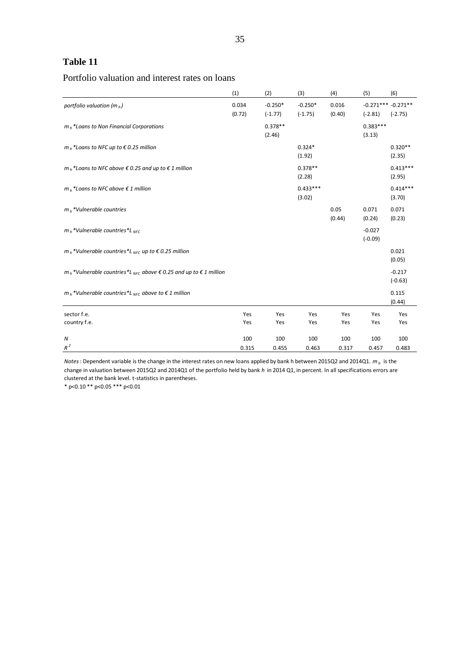# Portfolio valuation and interest rates on loans

|                                                                                                   | (1)             | (2)                    | (3)                    | (4)             | (5)                              | (6)                   |
|---------------------------------------------------------------------------------------------------|-----------------|------------------------|------------------------|-----------------|----------------------------------|-----------------------|
| portfolio valuation (m $_h$ )                                                                     | 0.034<br>(0.72) | $-0.250*$<br>$(-1.77)$ | $-0.250*$<br>$(-1.75)$ | 0.016<br>(0.40) | $-0.271***-0.271**$<br>$(-2.81)$ | $(-2.75)$             |
| $m_h$ *Loans to Non Financial Corporations                                                        |                 | $0.378**$<br>(2.46)    |                        |                 | $0.383***$<br>(3.13)             |                       |
| $m_h$ *Loans to NFC up to €0.25 million                                                           |                 |                        | $0.324*$<br>(1.92)     |                 |                                  | $0.320**$<br>(2.35)   |
| $m_h$ *Loans to NFC above € 0.25 and up to € 1 million                                            |                 |                        | $0.378**$<br>(2.28)    |                 |                                  | $0.413***$<br>(2.95)  |
| $m_h$ *Loans to NFC above € 1 million                                                             |                 |                        | $0.433***$<br>(3.02)   |                 |                                  | $0.414***$<br>(3.70)  |
| $m_h$ *Vulnerable countries                                                                       |                 |                        |                        | 0.05<br>(0.44)  | 0.071<br>(0.24)                  | 0.071<br>(0.23)       |
| $m_h$ *Vulnerable countries*L <sub>NEC</sub>                                                      |                 |                        |                        |                 | $-0.027$<br>$(-0.09)$            |                       |
| $m_h$ *Vulnerable countries*L <sub>NFC</sub> up to $\epsilon$ 0.25 million                        |                 |                        |                        |                 |                                  | 0.021<br>(0.05)       |
| $m_h$ *Vulnerable countries*L <sub>NFC</sub> above $\epsilon$ 0.25 and up to $\epsilon$ 1 million |                 |                        |                        |                 |                                  | $-0.217$<br>$(-0.63)$ |
| $m_h$ *Vulnerable countries*L <sub>NEC</sub> above to $\epsilon$ 1 million                        |                 |                        |                        |                 |                                  | 0.115<br>(0.44)       |
| sector f.e.                                                                                       | Yes             | Yes                    | Yes                    | Yes             | Yes                              | Yes                   |
| country f.e.                                                                                      | Yes             | Yes                    | Yes                    | Yes             | Yes                              | Yes                   |
| N                                                                                                 | 100             | 100                    | 100                    | 100             | 100                              | 100                   |
| $R^2$                                                                                             | 0.315           | 0.455                  | 0.463                  | 0.317           | 0.457                            | 0.483                 |

*Notes*: Dependent variable is the change in the interest rates on new loans applied by bank h between 2015Q2 and 2014Q1. *m<sup>h</sup>* is the change in valuation between 2015Q2 and 2014Q1 of the portfolio held by bank *h* in 2014 Q1, in percent. In all specifications errors are clustered at the bank level. t-statistics in parentheses.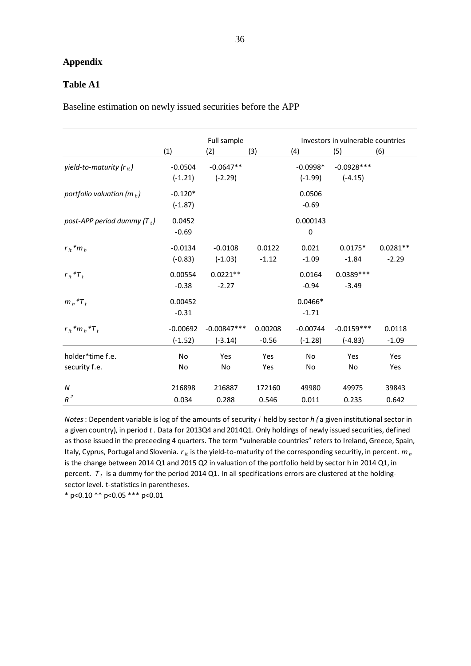## **Appendix**

## **Table A1**

Baseline estimation on newly issued securities before the APP

|                                   | (1)                     | Full sample<br>(2)         | (3)                | (4)                          | Investors in vulnerable countries<br>(5) | (6)                   |
|-----------------------------------|-------------------------|----------------------------|--------------------|------------------------------|------------------------------------------|-----------------------|
| yield-to-maturity ( $r_{it}$ )    | $-0.0504$<br>$(-1.21)$  | $-0.0647**$<br>$(-2.29)$   |                    | $-0.0998*$<br>$(-1.99)$      | $-0.0928***$<br>$(-4.15)$                |                       |
| portfolio valuation (m $_h$ )     | $-0.120*$<br>$(-1.87)$  |                            |                    | 0.0506<br>$-0.69$            |                                          |                       |
| post-APP period dummy $(T_t)$     | 0.0452<br>$-0.69$       |                            |                    | 0.000143<br>$\boldsymbol{0}$ |                                          |                       |
| $r_{it}$ * $m_h$                  | $-0.0134$<br>$(-0.83)$  | $-0.0108$<br>$(-1.03)$     | 0.0122<br>$-1.12$  | 0.021<br>$-1.09$             | $0.0175*$<br>$-1.84$                     | $0.0281**$<br>$-2.29$ |
| $r_{it}$ * $T_t$                  | 0.00554<br>$-0.38$      | $0.0221**$<br>$-2.27$      |                    | 0.0164<br>$-0.94$            | $0.0389***$<br>$-3.49$                   |                       |
| $m_h$ * $T_t$                     | 0.00452<br>$-0.31$      |                            |                    | $0.0466*$<br>$-1.71$         |                                          |                       |
| $r_{it}$ * $m_h$ * $T_t$          | $-0.00692$<br>$(-1.52)$ | $-0.00847***$<br>$(-3.14)$ | 0.00208<br>$-0.56$ | $-0.00744$<br>$(-1.28)$      | $-0.0159***$<br>$(-4.83)$                | 0.0118<br>$-1.09$     |
| holder*time f.e.<br>security f.e. | <b>No</b><br>No         | Yes<br>No                  | Yes<br>Yes         | <b>No</b><br>No              | Yes<br>No                                | Yes<br>Yes            |
| N<br>$R^2$                        | 216898<br>0.034         | 216887<br>0.288            | 172160<br>0.546    | 49980<br>0.011               | 49975<br>0.235                           | 39843<br>0.642        |

*Notes*: Dependent variable is log of the amounts of security *i* held by sector *h (* a given institutional sector in a given country), in period *t*. Data for 2013Q4 and 2014Q1. Only holdings of newly issued securities, defined as those issued in the preceeding 4 quarters. The term "vulnerable countries" refers to Ireland, Greece, Spain, Italy, Cyprus, Portugal and Slovenia. *rit* is the yield-to-maturity of the corresponding securitiy, in percent. *m<sup>h</sup>* is the change between 2014 Q1 and 2015 Q2 in valuation of the portfolio held by sector h in 2014 Q1, in percent. *T <sup>t</sup>* is a dummy for the period 2014 Q1. In all specifications errors are clustered at the holdingsector level. t-statistics in parentheses.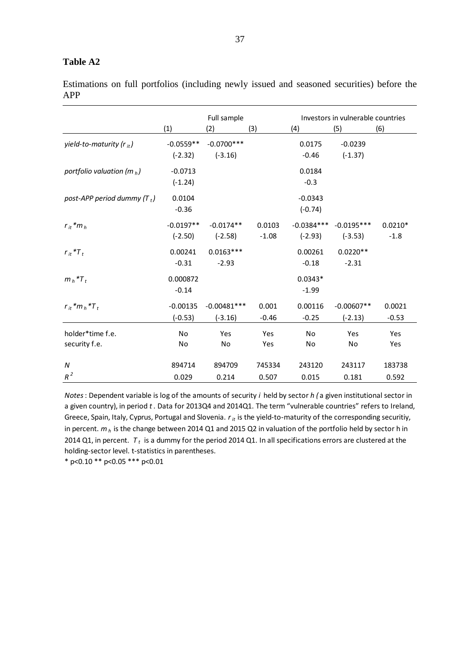# **Table A2**

Estimations on full portfolios (including newly issued and seasoned securities) before the APP

|                                   |                          | Full sample                |                   | Investors in vulnerable countries |                           |                     |  |
|-----------------------------------|--------------------------|----------------------------|-------------------|-----------------------------------|---------------------------|---------------------|--|
|                                   | (1)                      | (2)                        | (3)               | (4)                               | (5)                       | (6)                 |  |
| yield-to-maturity ( $r_{it}$ )    | $-0.0559**$<br>$(-2.32)$ | $-0.0700***$<br>$(-3.16)$  |                   | 0.0175<br>$-0.46$                 | $-0.0239$<br>$(-1.37)$    |                     |  |
| portfolio valuation (m $_h$ )     | $-0.0713$<br>$(-1.24)$   |                            |                   | 0.0184<br>$-0.3$                  |                           |                     |  |
| post-APP period dummy $(T_t)$     | 0.0104<br>$-0.36$        |                            |                   | $-0.0343$<br>$(-0.74)$            |                           |                     |  |
| $r_{it}$ * $m_h$                  | $-0.0197**$<br>$(-2.50)$ | $-0.0174**$<br>$(-2.58)$   | 0.0103<br>$-1.08$ | $-0.0384***$<br>$(-2.93)$         | $-0.0195***$<br>$(-3.53)$ | $0.0210*$<br>$-1.8$ |  |
| $r_{it}$ * $T_t$                  | 0.00241<br>$-0.31$       | $0.0163***$<br>$-2.93$     |                   | 0.00261<br>$-0.18$                | $0.0220**$<br>$-2.31$     |                     |  |
| $m_h$ * $T_t$                     | 0.000872<br>$-0.14$      |                            |                   | $0.0343*$<br>$-1.99$              |                           |                     |  |
| $r_{it}$ * $m_h$ * $T_t$          | $-0.00135$<br>$(-0.53)$  | $-0.00481***$<br>$(-3.16)$ | 0.001<br>$-0.46$  | 0.00116<br>$-0.25$                | $-0.00607**$<br>$(-2.13)$ | 0.0021<br>$-0.53$   |  |
| holder*time f.e.<br>security f.e. | <b>No</b><br>No          | Yes<br>No                  | Yes<br>Yes        | <b>No</b><br>No                   | Yes<br>No                 | Yes<br>Yes          |  |
| $\boldsymbol{N}$<br>$R^2$         | 894714<br>0.029          | 894709<br>0.214            | 745334<br>0.507   | 243120<br>0.015                   | 243117<br>0.181           | 183738<br>0.592     |  |

*Notes*: Dependent variable is log of the amounts of security *i* held by sector *h (* a given institutional sector in a given country), in period *t*. Data for 2013Q4 and 2014Q1. The term "vulnerable countries" refers to Ireland, Greece, Spain, Italy, Cyprus, Portugal and Slovenia. *rit* is the yield-to-maturity of the corresponding securitiy, in percent. *mh* is the change between 2014 Q1 and 2015 Q2 in valuation of the portfolio held by sector h in 2014 Q1, in percent. *T <sup>t</sup>* is a dummy for the period 2014 Q1. In all specifications errors are clustered at the holding-sector level. t-statistics in parentheses.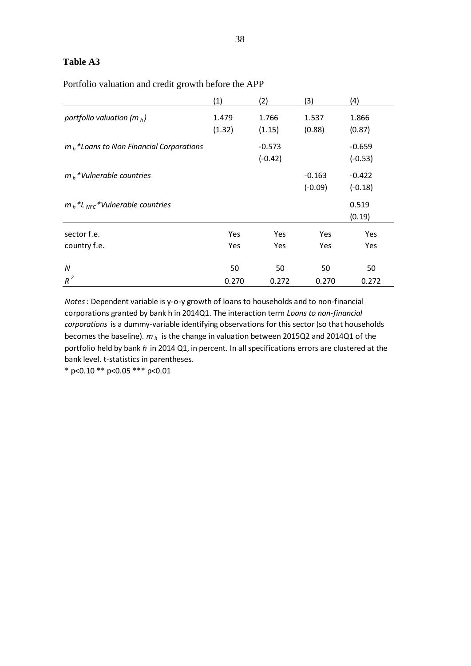# **Table A3**

Portfolio valuation and credit growth before the APP

|                                                                       | (1)             | (2)                   | (3)                   | (4)                   |
|-----------------------------------------------------------------------|-----------------|-----------------------|-----------------------|-----------------------|
| portfolio valuation (m $_h$ )                                         | 1.479<br>(1.32) | 1.766<br>(1.15)       | 1.537<br>(0.88)       | 1.866<br>(0.87)       |
| $m_h$ *Loans to Non Financial Corporations                            |                 | $-0.573$<br>$(-0.42)$ |                       | $-0.659$<br>$(-0.53)$ |
| $mh$ *Vulnerable countries                                            |                 |                       | $-0.163$<br>$(-0.09)$ | $-0.422$<br>$(-0.18)$ |
| $m_h$ <sup>*</sup> L <sub>NFC</sub> <sup>*</sup> Vulnerable countries |                 |                       |                       | 0.519<br>(0.19)       |
| sector f.e.                                                           | Yes             | Yes                   | <b>Yes</b>            | Yes                   |
| country f.e.                                                          | Yes             | <b>Yes</b>            | Yes                   | Yes                   |
| N                                                                     | 50              | 50                    | 50                    | 50                    |
| $R^2$                                                                 | 0.270           | 0.272                 | 0.270                 | 0.272                 |

*Notes*: Dependent variable is y-o-y growth of loans to households and to non-financial corporations granted by bank h in 2014Q1. The interaction term *Loans to non-financial corporations* is a dummy-variable identifying observations for this sector (so that households becomes the baseline). *m<sup>h</sup>* is the change in valuation between 2015Q2 and 2014Q1 of the portfolio held by bank *h* in 2014 Q1, in percent. In all specifications errors are clustered at the bank level. t-statistics in parentheses.